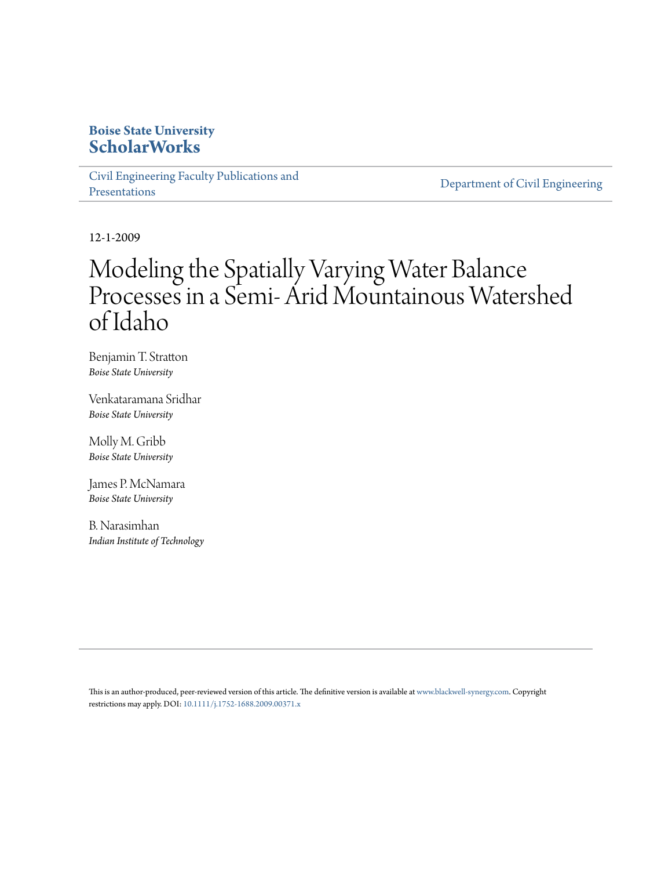# **Boise State University [ScholarWorks](https://scholarworks.boisestate.edu)**

[Civil Engineering Faculty Publications and](https://scholarworks.boisestate.edu/civileng_facpubs) [Presentations](https://scholarworks.boisestate.edu/civileng_facpubs)

[Department of Civil Engineering](https://scholarworks.boisestate.edu/civileng)

12-1-2009

# Modeling the Spatially Varying Water Balance Processes in a Semi- Arid Mountainous Watershed of Idaho

Benjamin T. Stratton *Boise State University*

Venkataramana Sridhar *Boise State University*

Molly M. Gribb *Boise State University*

James P. McNamara *Boise State University*

B. Narasimhan *Indian Institute of Technology*

This is an author-produced, peer-reviewed version of this article. The definitive version is available at [www.blackwell-synergy.com.](http://onlinelibrary.wiley.com/) Copyright restrictions may apply. DOI: [10.1111/j.1752-1688.2009.00371.x](http://dx.doi.org/10.1111/j.1752-1688.2009.00371.x)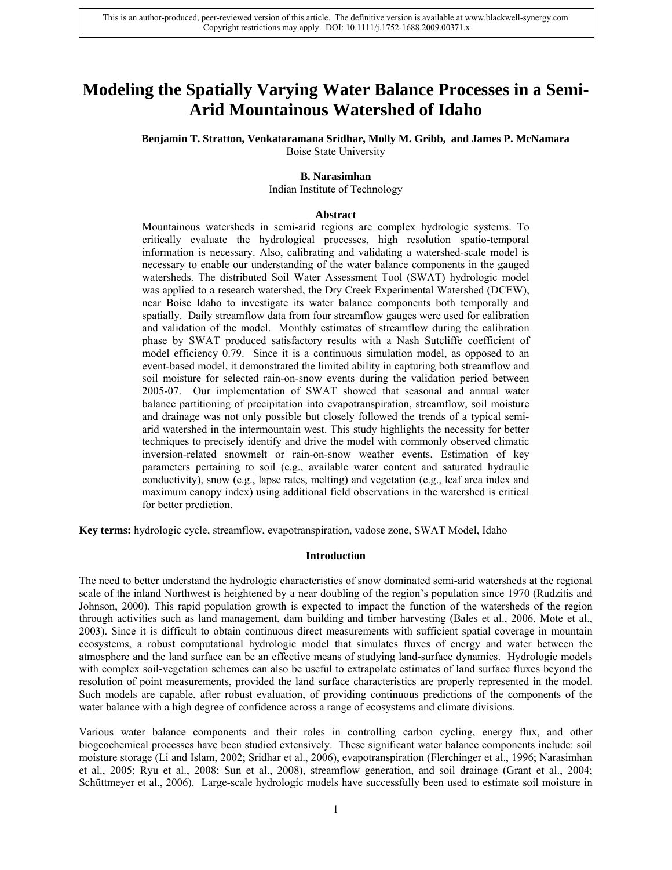# **Modeling the Spatially Varying Water Balance Processes in a Semi-Arid Mountainous Watershed of Idaho**

**Benjamin T. Stratton, Venkataramana Sridhar, Molly M. Gribb, and James P. McNamara** 

Boise State University

# **B. Narasimhan**

Indian Institute of Technology

#### **Abstract**

Mountainous watersheds in semi-arid regions are complex hydrologic systems. To critically evaluate the hydrological processes, high resolution spatio-temporal information is necessary. Also, calibrating and validating a watershed-scale model is necessary to enable our understanding of the water balance components in the gauged watersheds. The distributed Soil Water Assessment Tool (SWAT) hydrologic model was applied to a research watershed, the Dry Creek Experimental Watershed (DCEW), near Boise Idaho to investigate its water balance components both temporally and spatially. Daily streamflow data from four streamflow gauges were used for calibration and validation of the model. Monthly estimates of streamflow during the calibration phase by SWAT produced satisfactory results with a Nash Sutcliffe coefficient of model efficiency 0.79. Since it is a continuous simulation model, as opposed to an event-based model, it demonstrated the limited ability in capturing both streamflow and soil moisture for selected rain-on-snow events during the validation period between 2005-07. Our implementation of SWAT showed that seasonal and annual water balance partitioning of precipitation into evapotranspiration, streamflow, soil moisture and drainage was not only possible but closely followed the trends of a typical semiarid watershed in the intermountain west. This study highlights the necessity for better techniques to precisely identify and drive the model with commonly observed climatic inversion-related snowmelt or rain-on-snow weather events. Estimation of key parameters pertaining to soil (e.g., available water content and saturated hydraulic conductivity), snow (e.g., lapse rates, melting) and vegetation (e.g., leaf area index and maximum canopy index) using additional field observations in the watershed is critical for better prediction.

**Key terms:** hydrologic cycle, streamflow, evapotranspiration, vadose zone, SWAT Model, Idaho

#### **Introduction**

The need to better understand the hydrologic characteristics of snow dominated semi-arid watersheds at the regional scale of the inland Northwest is heightened by a near doubling of the region's population since 1970 (Rudzitis and Johnson, 2000). This rapid population growth is expected to impact the function of the watersheds of the region through activities such as land management, dam building and timber harvesting (Bales et al., 2006, Mote et al., 2003). Since it is difficult to obtain continuous direct measurements with sufficient spatial coverage in mountain ecosystems, a robust computational hydrologic model that simulates fluxes of energy and water between the atmosphere and the land surface can be an effective means of studying land-surface dynamics. Hydrologic models with complex soil-vegetation schemes can also be useful to extrapolate estimates of land surface fluxes beyond the resolution of point measurements, provided the land surface characteristics are properly represented in the model. Such models are capable, after robust evaluation, of providing continuous predictions of the components of the water balance with a high degree of confidence across a range of ecosystems and climate divisions.

Various water balance components and their roles in controlling carbon cycling, energy flux, and other biogeochemical processes have been studied extensively. These significant water balance components include: soil moisture storage (Li and Islam, 2002; Sridhar et al., 2006), evapotranspiration (Flerchinger et al., 1996; Narasimhan et al., 2005; Ryu et al., 2008; Sun et al., 2008), streamflow generation, and soil drainage (Grant et al., 2004; Schüttmeyer et al., 2006). Large-scale hydrologic models have successfully been used to estimate soil moisture in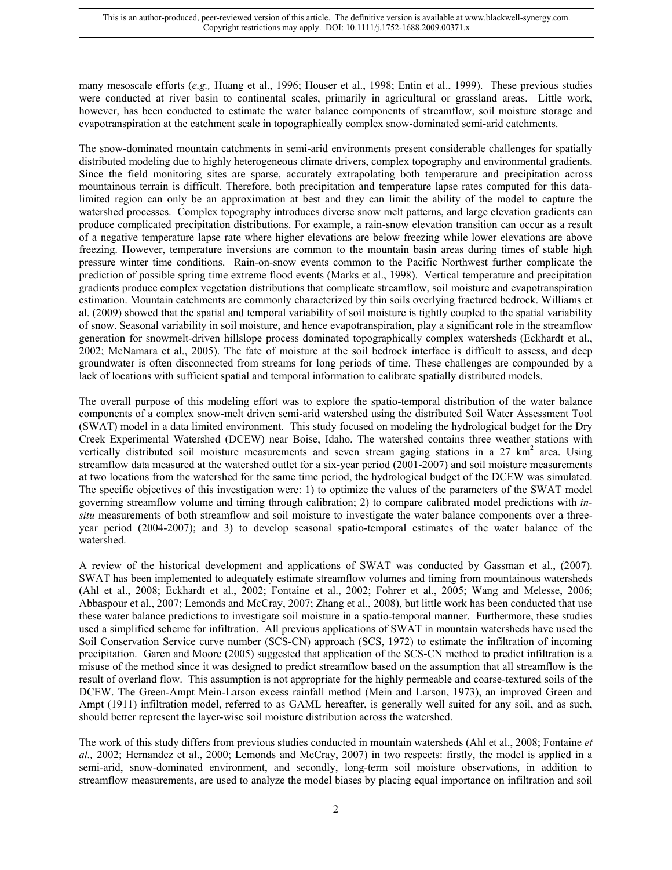many mesoscale efforts (*e.g.,* Huang et al., 1996; Houser et al., 1998; Entin et al., 1999). These previous studies were conducted at river basin to continental scales, primarily in agricultural or grassland areas. Little work, however, has been conducted to estimate the water balance components of streamflow, soil moisture storage and evapotranspiration at the catchment scale in topographically complex snow-dominated semi-arid catchments.

The snow-dominated mountain catchments in semi-arid environments present considerable challenges for spatially distributed modeling due to highly heterogeneous climate drivers, complex topography and environmental gradients. Since the field monitoring sites are sparse, accurately extrapolating both temperature and precipitation across mountainous terrain is difficult. Therefore, both precipitation and temperature lapse rates computed for this datalimited region can only be an approximation at best and they can limit the ability of the model to capture the watershed processes. Complex topography introduces diverse snow melt patterns, and large elevation gradients can produce complicated precipitation distributions. For example, a rain-snow elevation transition can occur as a result of a negative temperature lapse rate where higher elevations are below freezing while lower elevations are above freezing. However, temperature inversions are common to the mountain basin areas during times of stable high pressure winter time conditions. Rain-on-snow events common to the Pacific Northwest further complicate the prediction of possible spring time extreme flood events (Marks et al., 1998). Vertical temperature and precipitation gradients produce complex vegetation distributions that complicate streamflow, soil moisture and evapotranspiration estimation. Mountain catchments are commonly characterized by thin soils overlying fractured bedrock. Williams et al. (2009) showed that the spatial and temporal variability of soil moisture is tightly coupled to the spatial variability of snow. Seasonal variability in soil moisture, and hence evapotranspiration, play a significant role in the streamflow generation for snowmelt-driven hillslope process dominated topographically complex watersheds (Eckhardt et al., 2002; McNamara et al., 2005). The fate of moisture at the soil bedrock interface is difficult to assess, and deep groundwater is often disconnected from streams for long periods of time. These challenges are compounded by a lack of locations with sufficient spatial and temporal information to calibrate spatially distributed models.

The overall purpose of this modeling effort was to explore the spatio-temporal distribution of the water balance components of a complex snow-melt driven semi-arid watershed using the distributed Soil Water Assessment Tool (SWAT) model in a data limited environment. This study focused on modeling the hydrological budget for the Dry Creek Experimental Watershed (DCEW) near Boise, Idaho. The watershed contains three weather stations with vertically distributed soil moisture measurements and seven stream gaging stations in a  $27 \text{ km}^2$  area. Using streamflow data measured at the watershed outlet for a six-year period (2001-2007) and soil moisture measurements at two locations from the watershed for the same time period, the hydrological budget of the DCEW was simulated. The specific objectives of this investigation were: 1) to optimize the values of the parameters of the SWAT model governing streamflow volume and timing through calibration; 2) to compare calibrated model predictions with *insitu* measurements of both streamflow and soil moisture to investigate the water balance components over a threeyear period (2004-2007); and 3) to develop seasonal spatio-temporal estimates of the water balance of the watershed.

A review of the historical development and applications of SWAT was conducted by Gassman et al., (2007). SWAT has been implemented to adequately estimate streamflow volumes and timing from mountainous watersheds (Ahl et al., 2008; Eckhardt et al., 2002; Fontaine et al., 2002; Fohrer et al., 2005; Wang and Melesse, 2006; Abbaspour et al., 2007; Lemonds and McCray, 2007; Zhang et al., 2008), but little work has been conducted that use these water balance predictions to investigate soil moisture in a spatio-temporal manner. Furthermore, these studies used a simplified scheme for infiltration. All previous applications of SWAT in mountain watersheds have used the Soil Conservation Service curve number (SCS-CN) approach (SCS, 1972) to estimate the infiltration of incoming precipitation. Garen and Moore (2005) suggested that application of the SCS-CN method to predict infiltration is a misuse of the method since it was designed to predict streamflow based on the assumption that all streamflow is the result of overland flow. This assumption is not appropriate for the highly permeable and coarse-textured soils of the DCEW. The Green-Ampt Mein-Larson excess rainfall method (Mein and Larson, 1973), an improved Green and Ampt (1911) infiltration model, referred to as GAML hereafter, is generally well suited for any soil, and as such, should better represent the layer-wise soil moisture distribution across the watershed.

The work of this study differs from previous studies conducted in mountain watersheds (Ahl et al., 2008; Fontaine *et al.,* 2002; Hernandez et al., 2000; Lemonds and McCray, 2007) in two respects: firstly, the model is applied in a semi-arid, snow-dominated environment, and secondly, long-term soil moisture observations, in addition to streamflow measurements, are used to analyze the model biases by placing equal importance on infiltration and soil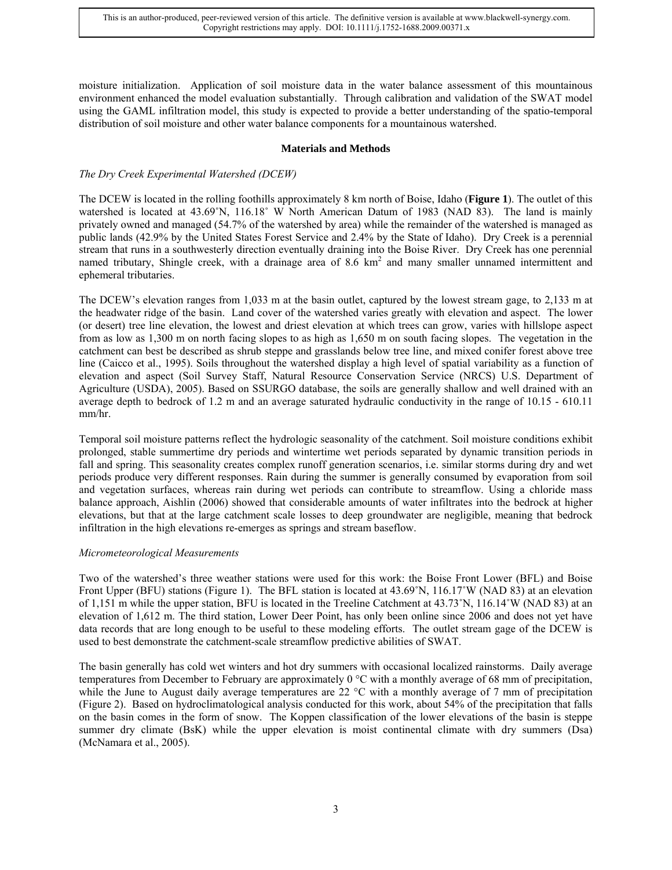moisture initialization. Application of soil moisture data in the water balance assessment of this mountainous environment enhanced the model evaluation substantially. Through calibration and validation of the SWAT model using the GAML infiltration model, this study is expected to provide a better understanding of the spatio-temporal distribution of soil moisture and other water balance components for a mountainous watershed.

# **Materials and Methods**

# *The Dry Creek Experimental Watershed (DCEW)*

The DCEW is located in the rolling foothills approximately 8 km north of Boise, Idaho (**Figure 1**). The outlet of this watershed is located at 43.69°N, 116.18° W North American Datum of 1983 (NAD 83). The land is mainly privately owned and managed (54.7% of the watershed by area) while the remainder of the watershed is managed as public lands (42.9% by the United States Forest Service and 2.4% by the State of Idaho). Dry Creek is a perennial stream that runs in a southwesterly direction eventually draining into the Boise River. Dry Creek has one perennial named tributary, Shingle creek, with a drainage area of 8.6 km<sup>2</sup> and many smaller unnamed intermittent and ephemeral tributaries.

The DCEW's elevation ranges from 1,033 m at the basin outlet, captured by the lowest stream gage, to 2,133 m at the headwater ridge of the basin. Land cover of the watershed varies greatly with elevation and aspect. The lower (or desert) tree line elevation, the lowest and driest elevation at which trees can grow, varies with hillslope aspect from as low as 1,300 m on north facing slopes to as high as 1,650 m on south facing slopes. The vegetation in the catchment can best be described as shrub steppe and grasslands below tree line, and mixed conifer forest above tree line (Caicco et al., 1995). Soils throughout the watershed display a high level of spatial variability as a function of elevation and aspect (Soil Survey Staff, Natural Resource Conservation Service (NRCS) U.S. Department of Agriculture (USDA), 2005). Based on SSURGO database, the soils are generally shallow and well drained with an average depth to bedrock of 1.2 m and an average saturated hydraulic conductivity in the range of 10.15 - 610.11 mm/hr.

Temporal soil moisture patterns reflect the hydrologic seasonality of the catchment. Soil moisture conditions exhibit prolonged, stable summertime dry periods and wintertime wet periods separated by dynamic transition periods in fall and spring. This seasonality creates complex runoff generation scenarios, i.e. similar storms during dry and wet periods produce very different responses. Rain during the summer is generally consumed by evaporation from soil and vegetation surfaces, whereas rain during wet periods can contribute to streamflow. Using a chloride mass balance approach, Aishlin (2006) showed that considerable amounts of water infiltrates into the bedrock at higher elevations, but that at the large catchment scale losses to deep groundwater are negligible, meaning that bedrock infiltration in the high elevations re-emerges as springs and stream baseflow.

# *Micrometeorological Measurements*

Two of the watershed's three weather stations were used for this work: the Boise Front Lower (BFL) and Boise Front Upper (BFU) stations (Figure 1). The BFL station is located at 43.69°N, 116.17°W (NAD 83) at an elevation of 1,151 m while the upper station, BFU is located in the Treeline Catchment at 43.73˚N, 116.14˚W (NAD 83) at an elevation of 1,612 m. The third station, Lower Deer Point, has only been online since 2006 and does not yet have data records that are long enough to be useful to these modeling efforts. The outlet stream gage of the DCEW is used to best demonstrate the catchment-scale streamflow predictive abilities of SWAT.

The basin generally has cold wet winters and hot dry summers with occasional localized rainstorms. Daily average temperatures from December to February are approximately 0 °C with a monthly average of 68 mm of precipitation, while the June to August daily average temperatures are 22 °C with a monthly average of 7 mm of precipitation (Figure 2). Based on hydroclimatological analysis conducted for this work, about 54% of the precipitation that falls on the basin comes in the form of snow. The Koppen classification of the lower elevations of the basin is steppe summer dry climate (BsK) while the upper elevation is moist continental climate with dry summers (Dsa) (McNamara et al., 2005).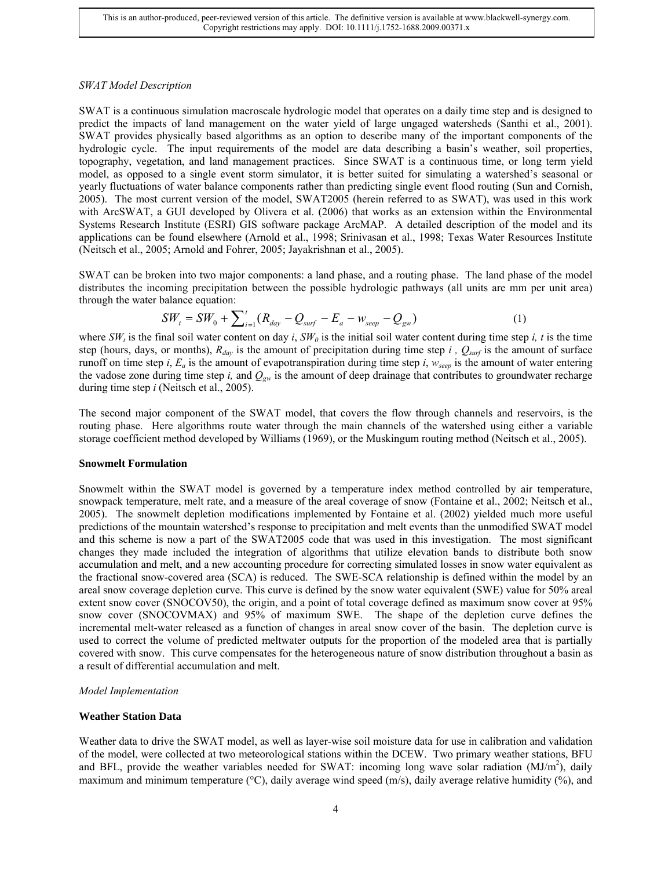# *SWAT Model Description*

SWAT is a continuous simulation macroscale hydrologic model that operates on a daily time step and is designed to predict the impacts of land management on the water yield of large ungaged watersheds (Santhi et al., 2001). SWAT provides physically based algorithms as an option to describe many of the important components of the hydrologic cycle. The input requirements of the model are data describing a basin's weather, soil properties, topography, vegetation, and land management practices. Since SWAT is a continuous time, or long term yield model, as opposed to a single event storm simulator, it is better suited for simulating a watershed's seasonal or yearly fluctuations of water balance components rather than predicting single event flood routing (Sun and Cornish, 2005). The most current version of the model, SWAT2005 (herein referred to as SWAT), was used in this work with ArcSWAT, a GUI developed by Olivera et al. (2006) that works as an extension within the Environmental Systems Research Institute (ESRI) GIS software package ArcMAP. A detailed description of the model and its applications can be found elsewhere (Arnold et al., 1998; Srinivasan et al., 1998; Texas Water Resources Institute (Neitsch et al., 2005; Arnold and Fohrer, 2005; Jayakrishnan et al., 2005).

SWAT can be broken into two major components: a land phase, and a routing phase. The land phase of the model distributes the incoming precipitation between the possible hydrologic pathways (all units are mm per unit area) through the water balance equation:

$$
SW_t = SW_0 + \sum_{i=1}^{t} (R_{day} - Q_{surf} - E_a - w_{seep} - Q_{gw})
$$
 (1)

where  $SW_t$  is the final soil water content on day *i*,  $SW_0$  is the initial soil water content during time step *i*, *t* is the time step (hours, days, or months),  $R_{day}$  is the amount of precipitation during time step *i*,  $Q_{surf}$  is the amount of surface runoff on time step *i*,  $E_a$  is the amount of evapotranspiration during time step *i*,  $w_{\text{seen}}$  is the amount of water entering the vadose zone during time step *i*, and  $Q_{gw}$  is the amount of deep drainage that contributes to groundwater recharge during time step *i* (Neitsch et al., 2005).

The second major component of the SWAT model, that covers the flow through channels and reservoirs, is the routing phase. Here algorithms route water through the main channels of the watershed using either a variable storage coefficient method developed by Williams (1969), or the Muskingum routing method (Neitsch et al., 2005).

#### **Snowmelt Formulation**

Snowmelt within the SWAT model is governed by a temperature index method controlled by air temperature, snowpack temperature, melt rate, and a measure of the areal coverage of snow (Fontaine et al., 2002; Neitsch et al., 2005). The snowmelt depletion modifications implemented by Fontaine et al. (2002) yielded much more useful predictions of the mountain watershed's response to precipitation and melt events than the unmodified SWAT model and this scheme is now a part of the SWAT2005 code that was used in this investigation. The most significant changes they made included the integration of algorithms that utilize elevation bands to distribute both snow accumulation and melt, and a new accounting procedure for correcting simulated losses in snow water equivalent as the fractional snow-covered area (SCA) is reduced. The SWE-SCA relationship is defined within the model by an areal snow coverage depletion curve. This curve is defined by the snow water equivalent (SWE) value for 50% areal extent snow cover (SNOCOV50), the origin, and a point of total coverage defined as maximum snow cover at 95% snow cover (SNOCOVMAX) and 95% of maximum SWE. The shape of the depletion curve defines the incremental melt-water released as a function of changes in areal snow cover of the basin. The depletion curve is used to correct the volume of predicted meltwater outputs for the proportion of the modeled area that is partially covered with snow. This curve compensates for the heterogeneous nature of snow distribution throughout a basin as a result of differential accumulation and melt.

# *Model Implementation*

# **Weather Station Data**

Weather data to drive the SWAT model, as well as layer-wise soil moisture data for use in calibration and validation of the model, were collected at two meteorological stations within the DCEW. Two primary weather stations, BFU and BFL, provide the weather variables needed for SWAT: incoming long wave solar radiation  $(MJ/m<sup>2</sup>)$ , daily maximum and minimum temperature ( $\degree$ C), daily average wind speed (m/s), daily average relative humidity (%), and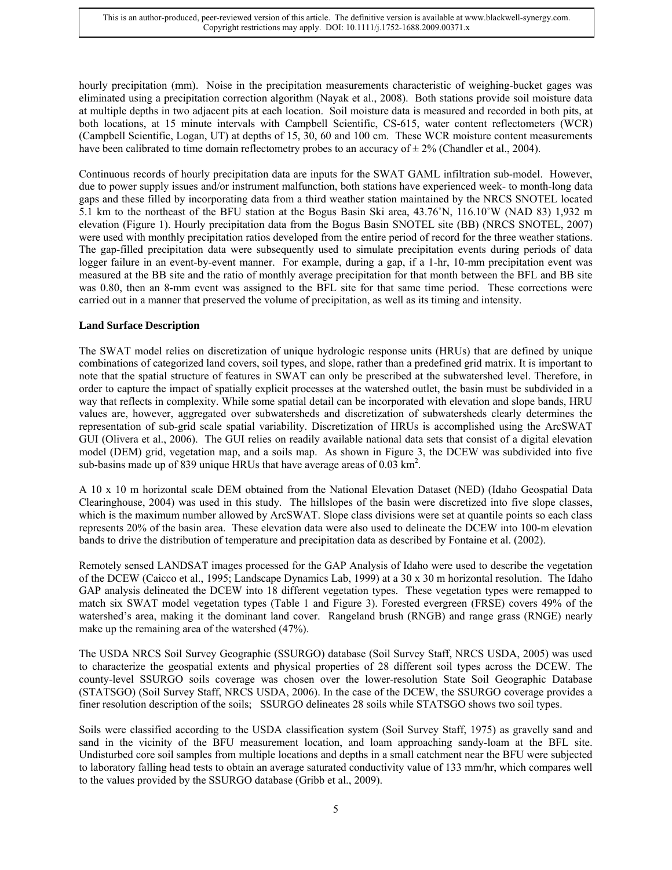hourly precipitation (mm). Noise in the precipitation measurements characteristic of weighing-bucket gages was eliminated using a precipitation correction algorithm (Nayak et al., 2008). Both stations provide soil moisture data at multiple depths in two adjacent pits at each location. Soil moisture data is measured and recorded in both pits, at both locations, at 15 minute intervals with Campbell Scientific, CS-615, water content reflectometers (WCR) (Campbell Scientific, Logan, UT) at depths of 15, 30, 60 and 100 cm. These WCR moisture content measurements have been calibrated to time domain reflectometry probes to an accuracy of  $\pm 2\%$  (Chandler et al., 2004).

Continuous records of hourly precipitation data are inputs for the SWAT GAML infiltration sub-model. However, due to power supply issues and/or instrument malfunction, both stations have experienced week- to month-long data gaps and these filled by incorporating data from a third weather station maintained by the NRCS SNOTEL located 5.1 km to the northeast of the BFU station at the Bogus Basin Ski area, 43.76˚N, 116.10˚W (NAD 83) 1,932 m elevation (Figure 1). Hourly precipitation data from the Bogus Basin SNOTEL site (BB) (NRCS SNOTEL, 2007) were used with monthly precipitation ratios developed from the entire period of record for the three weather stations. The gap-filled precipitation data were subsequently used to simulate precipitation events during periods of data logger failure in an event-by-event manner. For example, during a gap, if a 1-hr, 10-mm precipitation event was measured at the BB site and the ratio of monthly average precipitation for that month between the BFL and BB site was 0.80, then an 8-mm event was assigned to the BFL site for that same time period. These corrections were carried out in a manner that preserved the volume of precipitation, as well as its timing and intensity.

# **Land Surface Description**

The SWAT model relies on discretization of unique hydrologic response units (HRUs) that are defined by unique combinations of categorized land covers, soil types, and slope, rather than a predefined grid matrix. It is important to note that the spatial structure of features in SWAT can only be prescribed at the subwatershed level. Therefore, in order to capture the impact of spatially explicit processes at the watershed outlet, the basin must be subdivided in a way that reflects in complexity. While some spatial detail can be incorporated with elevation and slope bands, HRU values are, however, aggregated over subwatersheds and discretization of subwatersheds clearly determines the representation of sub-grid scale spatial variability. Discretization of HRUs is accomplished using the ArcSWAT GUI (Olivera et al., 2006). The GUI relies on readily available national data sets that consist of a digital elevation model (DEM) grid, vegetation map, and a soils map. As shown in Figure 3, the DCEW was subdivided into five sub-basins made up of 839 unique HRUs that have average areas of  $0.03 \text{ km}^2$ .

A 10 x 10 m horizontal scale DEM obtained from the National Elevation Dataset (NED) (Idaho Geospatial Data Clearinghouse, 2004) was used in this study. The hillslopes of the basin were discretized into five slope classes, which is the maximum number allowed by ArcSWAT. Slope class divisions were set at quantile points so each class represents 20% of the basin area. These elevation data were also used to delineate the DCEW into 100-m elevation bands to drive the distribution of temperature and precipitation data as described by Fontaine et al. (2002).

Remotely sensed LANDSAT images processed for the GAP Analysis of Idaho were used to describe the vegetation of the DCEW (Caicco et al., 1995; Landscape Dynamics Lab, 1999) at a 30 x 30 m horizontal resolution. The Idaho GAP analysis delineated the DCEW into 18 different vegetation types. These vegetation types were remapped to match six SWAT model vegetation types (Table 1 and Figure 3). Forested evergreen (FRSE) covers 49% of the watershed's area, making it the dominant land cover. Rangeland brush (RNGB) and range grass (RNGE) nearly make up the remaining area of the watershed (47%).

The USDA NRCS Soil Survey Geographic (SSURGO) database (Soil Survey Staff, NRCS USDA, 2005) was used to characterize the geospatial extents and physical properties of 28 different soil types across the DCEW. The county-level SSURGO soils coverage was chosen over the lower-resolution State Soil Geographic Database (STATSGO) (Soil Survey Staff, NRCS USDA, 2006). In the case of the DCEW, the SSURGO coverage provides a finer resolution description of the soils; SSURGO delineates 28 soils while STATSGO shows two soil types.

Soils were classified according to the USDA classification system (Soil Survey Staff, 1975) as gravelly sand and sand in the vicinity of the BFU measurement location, and loam approaching sandy-loam at the BFL site. Undisturbed core soil samples from multiple locations and depths in a small catchment near the BFU were subjected to laboratory falling head tests to obtain an average saturated conductivity value of 133 mm/hr, which compares well to the values provided by the SSURGO database (Gribb et al., 2009).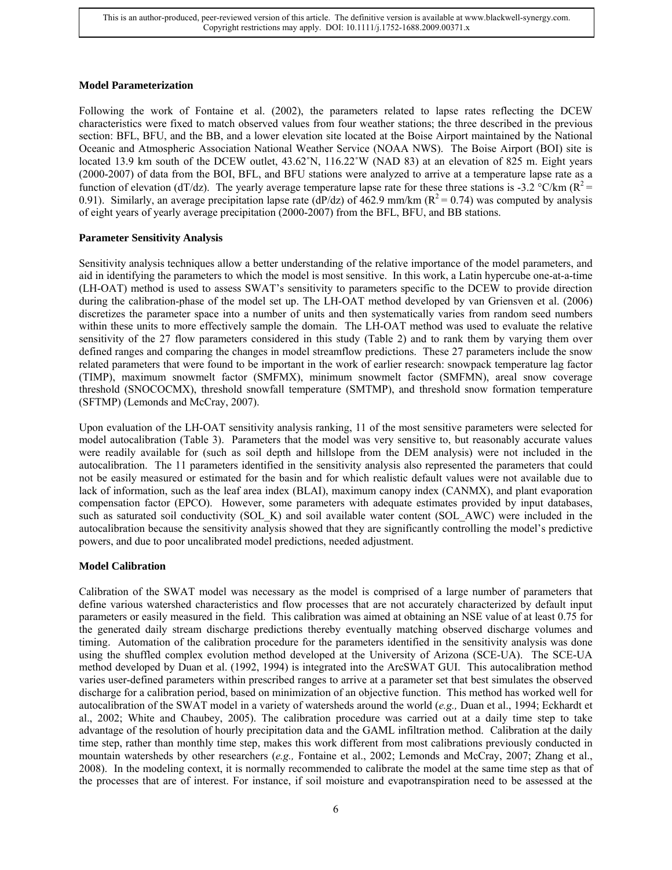# **Model Parameterization**

Following the work of Fontaine et al. (2002), the parameters related to lapse rates reflecting the DCEW characteristics were fixed to match observed values from four weather stations; the three described in the previous section: BFL, BFU, and the BB, and a lower elevation site located at the Boise Airport maintained by the National Oceanic and Atmospheric Association National Weather Service (NOAA NWS). The Boise Airport (BOI) site is located 13.9 km south of the DCEW outlet, 43.62°N, 116.22°W (NAD 83) at an elevation of 825 m. Eight years (2000-2007) of data from the BOI, BFL, and BFU stations were analyzed to arrive at a temperature lapse rate as a function of elevation (dT/dz). The yearly average temperature lapse rate for these three stations is -3.2 °C/km ( $R^2$  = 0.91). Similarly, an average precipitation lapse rate (dP/dz) of 462.9 mm/km ( $R^2 = 0.74$ ) was computed by analysis of eight years of yearly average precipitation (2000-2007) from the BFL, BFU, and BB stations.

# **Parameter Sensitivity Analysis**

Sensitivity analysis techniques allow a better understanding of the relative importance of the model parameters, and aid in identifying the parameters to which the model is most sensitive. In this work, a Latin hypercube one-at-a-time (LH-OAT) method is used to assess SWAT's sensitivity to parameters specific to the DCEW to provide direction during the calibration-phase of the model set up. The LH-OAT method developed by van Griensven et al. (2006) discretizes the parameter space into a number of units and then systematically varies from random seed numbers within these units to more effectively sample the domain. The LH-OAT method was used to evaluate the relative sensitivity of the 27 flow parameters considered in this study (Table 2) and to rank them by varying them over defined ranges and comparing the changes in model streamflow predictions. These 27 parameters include the snow related parameters that were found to be important in the work of earlier research: snowpack temperature lag factor (TIMP), maximum snowmelt factor (SMFMX), minimum snowmelt factor (SMFMN), areal snow coverage threshold (SNOCOCMX), threshold snowfall temperature (SMTMP), and threshold snow formation temperature (SFTMP) (Lemonds and McCray, 2007).

Upon evaluation of the LH-OAT sensitivity analysis ranking, 11 of the most sensitive parameters were selected for model autocalibration (Table 3). Parameters that the model was very sensitive to, but reasonably accurate values were readily available for (such as soil depth and hillslope from the DEM analysis) were not included in the autocalibration. The 11 parameters identified in the sensitivity analysis also represented the parameters that could not be easily measured or estimated for the basin and for which realistic default values were not available due to lack of information, such as the leaf area index (BLAI), maximum canopy index (CANMX), and plant evaporation compensation factor (EPCO). However, some parameters with adequate estimates provided by input databases, such as saturated soil conductivity (SOL K) and soil available water content (SOL AWC) were included in the autocalibration because the sensitivity analysis showed that they are significantly controlling the model's predictive powers, and due to poor uncalibrated model predictions, needed adjustment.

# **Model Calibration**

Calibration of the SWAT model was necessary as the model is comprised of a large number of parameters that define various watershed characteristics and flow processes that are not accurately characterized by default input parameters or easily measured in the field. This calibration was aimed at obtaining an NSE value of at least 0.75 for the generated daily stream discharge predictions thereby eventually matching observed discharge volumes and timing. Automation of the calibration procedure for the parameters identified in the sensitivity analysis was done using the shuffled complex evolution method developed at the University of Arizona (SCE-UA). The SCE-UA method developed by Duan et al. (1992, 1994) is integrated into the ArcSWAT GUI. This autocalibration method varies user-defined parameters within prescribed ranges to arrive at a parameter set that best simulates the observed discharge for a calibration period, based on minimization of an objective function. This method has worked well for autocalibration of the SWAT model in a variety of watersheds around the world (*e.g.,* Duan et al., 1994; Eckhardt et al., 2002; White and Chaubey, 2005). The calibration procedure was carried out at a daily time step to take advantage of the resolution of hourly precipitation data and the GAML infiltration method. Calibration at the daily time step, rather than monthly time step, makes this work different from most calibrations previously conducted in mountain watersheds by other researchers (*e.g.,* Fontaine et al., 2002; Lemonds and McCray, 2007; Zhang et al., 2008). In the modeling context, it is normally recommended to calibrate the model at the same time step as that of the processes that are of interest. For instance, if soil moisture and evapotranspiration need to be assessed at the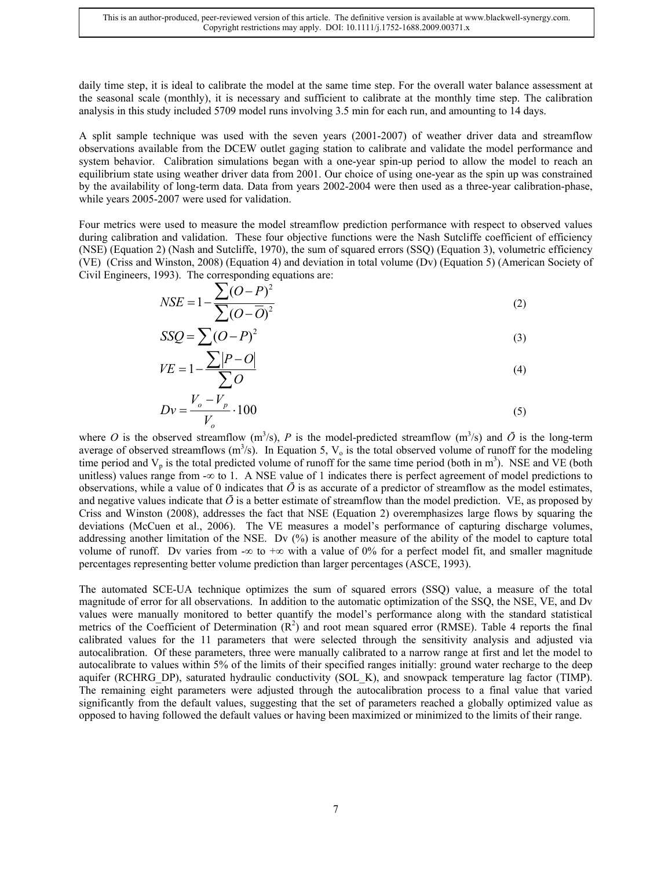daily time step, it is ideal to calibrate the model at the same time step. For the overall water balance assessment at the seasonal scale (monthly), it is necessary and sufficient to calibrate at the monthly time step. The calibration analysis in this study included 5709 model runs involving 3.5 min for each run, and amounting to 14 days.

A split sample technique was used with the seven years (2001-2007) of weather driver data and streamflow observations available from the DCEW outlet gaging station to calibrate and validate the model performance and system behavior. Calibration simulations began with a one-year spin-up period to allow the model to reach an equilibrium state using weather driver data from 2001. Our choice of using one-year as the spin up was constrained by the availability of long-term data. Data from years 2002-2004 were then used as a three-year calibration-phase, while years 2005-2007 were used for validation.

Four metrics were used to measure the model streamflow prediction performance with respect to observed values during calibration and validation. These four objective functions were the Nash Sutcliffe coefficient of efficiency (NSE) (Equation 2) (Nash and Sutcliffe, 1970), the sum of squared errors (SSQ) (Equation 3), volumetric efficiency (VE) (Criss and Winston, 2008) (Equation 4) and deviation in total volume (Dv) (Equation 5) (American Society of Civil Engineers, 1993). The corresponding equations are:

$$
NSE = 1 - \frac{\sum (O - P)^2}{\sum (O - \overline{O})^2}
$$
 (2)

$$
SSQ = \sum (O - P)^2 \tag{3}
$$

$$
VE = 1 - \frac{\sum |P - O|}{\sum O} \tag{4}
$$

$$
Dv = \frac{V_o - V_p}{V_o} \cdot 100
$$
 (5)

where O is the observed streamflow  $(m^3/s)$ , P is the model-predicted streamflow  $(m^3/s)$  and  $\overline{O}$  is the long-term average of observed streamflows  $(m^3/s)$ . In Equation 5,  $V_0$  is the total observed volume of runoff for the modeling time period and  $V_p$  is the total predicted volume of runoff for the same time period (both in m<sup>3</sup>). NSE and VE (both unitless) values range from - $\infty$  to 1. A NSE value of 1 indicates there is perfect agreement of model predictions to observations, while a value of 0 indicates that  $\bar{O}$  is as accurate of a predictor of streamflow as the model estimates, and negative values indicate that  $\bar{O}$  is a better estimate of streamflow than the model prediction. VE, as proposed by Criss and Winston (2008), addresses the fact that NSE (Equation 2) overemphasizes large flows by squaring the deviations (McCuen et al., 2006). The VE measures a model's performance of capturing discharge volumes, addressing another limitation of the NSE. Dv (%) is another measure of the ability of the model to capture total volume of runoff. Dv varies from - $\infty$  to + $\infty$  with a value of 0% for a perfect model fit, and smaller magnitude percentages representing better volume prediction than larger percentages (ASCE, 1993).

The automated SCE-UA technique optimizes the sum of squared errors (SSQ) value, a measure of the total magnitude of error for all observations. In addition to the automatic optimization of the SSQ, the NSE, VE, and Dv values were manually monitored to better quantify the model's performance along with the standard statistical metrics of the Coefficient of Determination  $(R^2)$  and root mean squared error (RMSE). Table 4 reports the final calibrated values for the 11 parameters that were selected through the sensitivity analysis and adjusted via autocalibration. Of these parameters, three were manually calibrated to a narrow range at first and let the model to autocalibrate to values within 5% of the limits of their specified ranges initially: ground water recharge to the deep aquifer (RCHRG\_DP), saturated hydraulic conductivity (SOL\_K), and snowpack temperature lag factor (TIMP). The remaining eight parameters were adjusted through the autocalibration process to a final value that varied significantly from the default values, suggesting that the set of parameters reached a globally optimized value as opposed to having followed the default values or having been maximized or minimized to the limits of their range.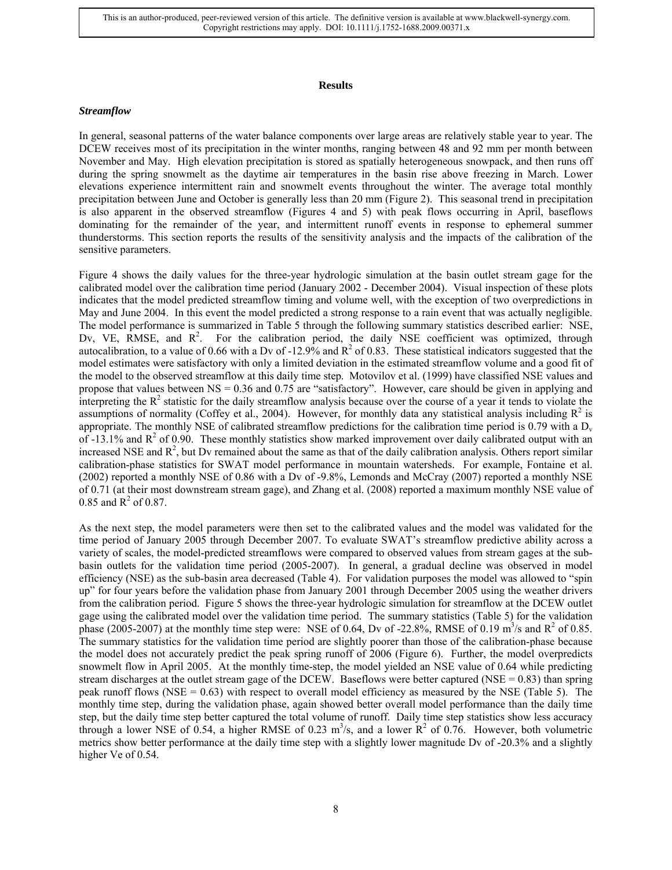#### **Results**

#### *Streamflow*

In general, seasonal patterns of the water balance components over large areas are relatively stable year to year. The DCEW receives most of its precipitation in the winter months, ranging between 48 and 92 mm per month between November and May. High elevation precipitation is stored as spatially heterogeneous snowpack, and then runs off during the spring snowmelt as the daytime air temperatures in the basin rise above freezing in March. Lower elevations experience intermittent rain and snowmelt events throughout the winter. The average total monthly precipitation between June and October is generally less than 20 mm (Figure 2). This seasonal trend in precipitation is also apparent in the observed streamflow (Figures 4 and 5) with peak flows occurring in April, baseflows dominating for the remainder of the year, and intermittent runoff events in response to ephemeral summer thunderstorms. This section reports the results of the sensitivity analysis and the impacts of the calibration of the sensitive parameters.

Figure 4 shows the daily values for the three-year hydrologic simulation at the basin outlet stream gage for the calibrated model over the calibration time period (January 2002 - December 2004). Visual inspection of these plots indicates that the model predicted streamflow timing and volume well, with the exception of two overpredictions in May and June 2004. In this event the model predicted a strong response to a rain event that was actually negligible. The model performance is summarized in Table 5 through the following summary statistics described earlier: NSE, Dv, VE, RMSE, and  $R^2$ . For the calibration period, the daily NSE coefficient was optimized, through autocalibration, to a value of 0.66 with a Dv of -12.9% and  $R^2$  of 0.83. These statistical indicators suggested that the model estimates were satisfactory with only a limited deviation in the estimated streamflow volume and a good fit of the model to the observed streamflow at this daily time step. Motovilov et al. (1999) have classified NSE values and propose that values between NS = 0.36 and 0.75 are "satisfactory". However, care should be given in applying and interpreting the  $R<sup>2</sup>$  statistic for the daily streamflow analysis because over the course of a year it tends to violate the assumptions of normality (Coffey et al., 2004). However, for monthly data any statistical analysis including  $\mathbb{R}^2$  is appropriate. The monthly NSE of calibrated streamflow predictions for the calibration time period is 0.79 with a  $D_v$ of  $-13.1\%$  and  $R^2$  of 0.90. These monthly statistics show marked improvement over daily calibrated output with an increased NSE and  $R<sup>2</sup>$ , but Dv remained about the same as that of the daily calibration analysis. Others report similar calibration-phase statistics for SWAT model performance in mountain watersheds. For example, Fontaine et al. (2002) reported a monthly NSE of 0.86 with a Dv of -9.8%, Lemonds and McCray (2007) reported a monthly NSE of 0.71 (at their most downstream stream gage), and Zhang et al. (2008) reported a maximum monthly NSE value of 0.85 and  $R^2$  of 0.87.

As the next step, the model parameters were then set to the calibrated values and the model was validated for the time period of January 2005 through December 2007. To evaluate SWAT's streamflow predictive ability across a variety of scales, the model-predicted streamflows were compared to observed values from stream gages at the subbasin outlets for the validation time period (2005-2007). In general, a gradual decline was observed in model efficiency (NSE) as the sub-basin area decreased (Table 4). For validation purposes the model was allowed to "spin up" for four years before the validation phase from January 2001 through December 2005 using the weather drivers from the calibration period. Figure 5 shows the three-year hydrologic simulation for streamflow at the DCEW outlet gage using the calibrated model over the validation time period. The summary statistics (Table 5) for the validation phase (2005-2007) at the monthly time step were: NSE of 0.64, Dv of -22.8%, RMSE of 0.19 m<sup>3</sup>/s and  $R^2$  of 0.85. The summary statistics for the validation time period are slightly poorer than those of the calibration-phase because the model does not accurately predict the peak spring runoff of 2006 (Figure 6). Further, the model overpredicts snowmelt flow in April 2005. At the monthly time-step, the model yielded an NSE value of 0.64 while predicting stream discharges at the outlet stream gage of the DCEW. Baseflows were better captured (NSE  $= 0.83$ ) than spring peak runoff flows (NSE  $= 0.63$ ) with respect to overall model efficiency as measured by the NSE (Table 5). The monthly time step, during the validation phase, again showed better overall model performance than the daily time step, but the daily time step better captured the total volume of runoff. Daily time step statistics show less accuracy through a lower NSE of 0.54, a higher RMSE of 0.23  $m^3/s$ , and a lower  $R^2$  of 0.76. However, both volumetric metrics show better performance at the daily time step with a slightly lower magnitude Dv of -20.3% and a slightly higher Ve of 0.54.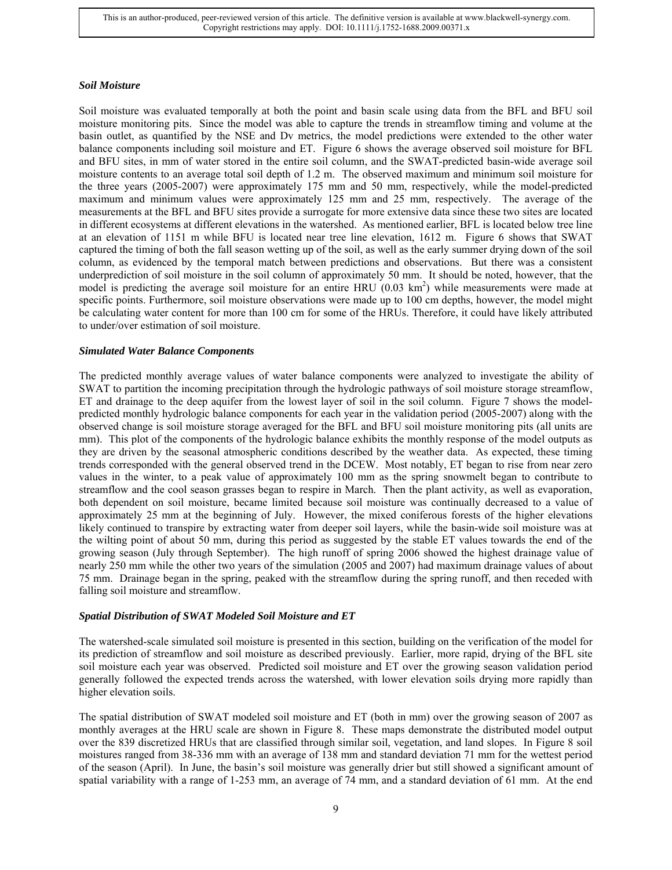#### *Soil Moisture*

Soil moisture was evaluated temporally at both the point and basin scale using data from the BFL and BFU soil moisture monitoring pits. Since the model was able to capture the trends in streamflow timing and volume at the basin outlet, as quantified by the NSE and Dv metrics, the model predictions were extended to the other water balance components including soil moisture and ET. Figure 6 shows the average observed soil moisture for BFL and BFU sites, in mm of water stored in the entire soil column, and the SWAT-predicted basin-wide average soil moisture contents to an average total soil depth of 1.2 m. The observed maximum and minimum soil moisture for the three years (2005-2007) were approximately 175 mm and 50 mm, respectively, while the model-predicted maximum and minimum values were approximately 125 mm and 25 mm, respectively. The average of the measurements at the BFL and BFU sites provide a surrogate for more extensive data since these two sites are located in different ecosystems at different elevations in the watershed. As mentioned earlier, BFL is located below tree line at an elevation of 1151 m while BFU is located near tree line elevation, 1612 m. Figure 6 shows that SWAT captured the timing of both the fall season wetting up of the soil, as well as the early summer drying down of the soil column, as evidenced by the temporal match between predictions and observations. But there was a consistent underprediction of soil moisture in the soil column of approximately 50 mm. It should be noted, however, that the model is predicting the average soil moisture for an entire HRU  $(0.03 \text{ km}^2)$  while measurements were made at specific points. Furthermore, soil moisture observations were made up to 100 cm depths, however, the model might be calculating water content for more than 100 cm for some of the HRUs. Therefore, it could have likely attributed to under/over estimation of soil moisture.

# *Simulated Water Balance Components*

The predicted monthly average values of water balance components were analyzed to investigate the ability of SWAT to partition the incoming precipitation through the hydrologic pathways of soil moisture storage streamflow, ET and drainage to the deep aquifer from the lowest layer of soil in the soil column. Figure 7 shows the modelpredicted monthly hydrologic balance components for each year in the validation period (2005-2007) along with the observed change is soil moisture storage averaged for the BFL and BFU soil moisture monitoring pits (all units are mm). This plot of the components of the hydrologic balance exhibits the monthly response of the model outputs as they are driven by the seasonal atmospheric conditions described by the weather data. As expected, these timing trends corresponded with the general observed trend in the DCEW. Most notably, ET began to rise from near zero values in the winter, to a peak value of approximately 100 mm as the spring snowmelt began to contribute to streamflow and the cool season grasses began to respire in March. Then the plant activity, as well as evaporation, both dependent on soil moisture, became limited because soil moisture was continually decreased to a value of approximately 25 mm at the beginning of July. However, the mixed coniferous forests of the higher elevations likely continued to transpire by extracting water from deeper soil layers, while the basin-wide soil moisture was at the wilting point of about 50 mm, during this period as suggested by the stable ET values towards the end of the growing season (July through September). The high runoff of spring 2006 showed the highest drainage value of nearly 250 mm while the other two years of the simulation (2005 and 2007) had maximum drainage values of about 75 mm. Drainage began in the spring, peaked with the streamflow during the spring runoff, and then receded with falling soil moisture and streamflow.

# *Spatial Distribution of SWAT Modeled Soil Moisture and ET*

The watershed-scale simulated soil moisture is presented in this section, building on the verification of the model for its prediction of streamflow and soil moisture as described previously. Earlier, more rapid, drying of the BFL site soil moisture each year was observed. Predicted soil moisture and ET over the growing season validation period generally followed the expected trends across the watershed, with lower elevation soils drying more rapidly than higher elevation soils.

The spatial distribution of SWAT modeled soil moisture and ET (both in mm) over the growing season of 2007 as monthly averages at the HRU scale are shown in Figure 8. These maps demonstrate the distributed model output over the 839 discretized HRUs that are classified through similar soil, vegetation, and land slopes. In Figure 8 soil moistures ranged from 38-336 mm with an average of 138 mm and standard deviation 71 mm for the wettest period of the season (April). In June, the basin's soil moisture was generally drier but still showed a significant amount of spatial variability with a range of 1-253 mm, an average of 74 mm, and a standard deviation of 61 mm. At the end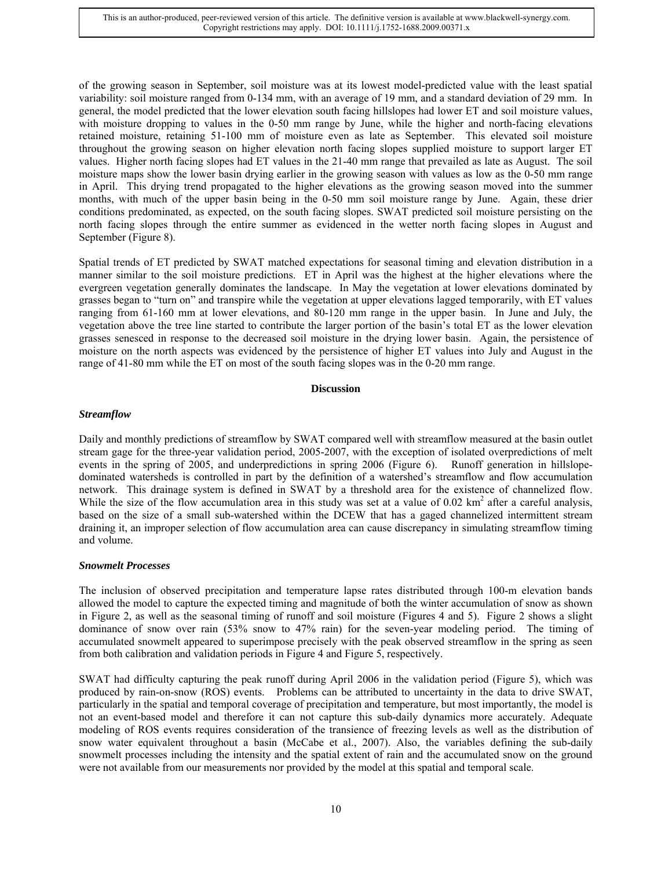of the growing season in September, soil moisture was at its lowest model-predicted value with the least spatial variability: soil moisture ranged from 0-134 mm, with an average of 19 mm, and a standard deviation of 29 mm. In general, the model predicted that the lower elevation south facing hillslopes had lower ET and soil moisture values, with moisture dropping to values in the 0-50 mm range by June, while the higher and north-facing elevations retained moisture, retaining 51-100 mm of moisture even as late as September. This elevated soil moisture throughout the growing season on higher elevation north facing slopes supplied moisture to support larger ET values. Higher north facing slopes had ET values in the 21-40 mm range that prevailed as late as August. The soil moisture maps show the lower basin drying earlier in the growing season with values as low as the 0-50 mm range in April. This drying trend propagated to the higher elevations as the growing season moved into the summer months, with much of the upper basin being in the 0-50 mm soil moisture range by June. Again, these drier conditions predominated, as expected, on the south facing slopes. SWAT predicted soil moisture persisting on the north facing slopes through the entire summer as evidenced in the wetter north facing slopes in August and September (Figure 8).

Spatial trends of ET predicted by SWAT matched expectations for seasonal timing and elevation distribution in a manner similar to the soil moisture predictions. ET in April was the highest at the higher elevations where the evergreen vegetation generally dominates the landscape. In May the vegetation at lower elevations dominated by grasses began to "turn on" and transpire while the vegetation at upper elevations lagged temporarily, with ET values ranging from 61-160 mm at lower elevations, and 80-120 mm range in the upper basin. In June and July, the vegetation above the tree line started to contribute the larger portion of the basin's total ET as the lower elevation grasses senesced in response to the decreased soil moisture in the drying lower basin. Again, the persistence of moisture on the north aspects was evidenced by the persistence of higher ET values into July and August in the range of 41-80 mm while the ET on most of the south facing slopes was in the 0-20 mm range.

#### **Discussion**

# *Streamflow*

Daily and monthly predictions of streamflow by SWAT compared well with streamflow measured at the basin outlet stream gage for the three-year validation period, 2005-2007, with the exception of isolated overpredictions of melt events in the spring of 2005, and underpredictions in spring 2006 (Figure 6). Runoff generation in hillslopedominated watersheds is controlled in part by the definition of a watershed's streamflow and flow accumulation network. This drainage system is defined in SWAT by a threshold area for the existence of channelized flow. While the size of the flow accumulation area in this study was set at a value of  $0.02 \text{ km}^2$  after a careful analysis, based on the size of a small sub-watershed within the DCEW that has a gaged channelized intermittent stream draining it, an improper selection of flow accumulation area can cause discrepancy in simulating streamflow timing and volume.

#### *Snowmelt Processes*

The inclusion of observed precipitation and temperature lapse rates distributed through 100-m elevation bands allowed the model to capture the expected timing and magnitude of both the winter accumulation of snow as shown in Figure 2, as well as the seasonal timing of runoff and soil moisture (Figures 4 and 5). Figure 2 shows a slight dominance of snow over rain (53% snow to 47% rain) for the seven-year modeling period. The timing of accumulated snowmelt appeared to superimpose precisely with the peak observed streamflow in the spring as seen from both calibration and validation periods in Figure 4 and Figure 5, respectively.

SWAT had difficulty capturing the peak runoff during April 2006 in the validation period (Figure 5), which was produced by rain-on-snow (ROS) events. Problems can be attributed to uncertainty in the data to drive SWAT, particularly in the spatial and temporal coverage of precipitation and temperature, but most importantly, the model is not an event-based model and therefore it can not capture this sub-daily dynamics more accurately. Adequate modeling of ROS events requires consideration of the transience of freezing levels as well as the distribution of snow water equivalent throughout a basin (McCabe et al., 2007). Also, the variables defining the sub-daily snowmelt processes including the intensity and the spatial extent of rain and the accumulated snow on the ground were not available from our measurements nor provided by the model at this spatial and temporal scale.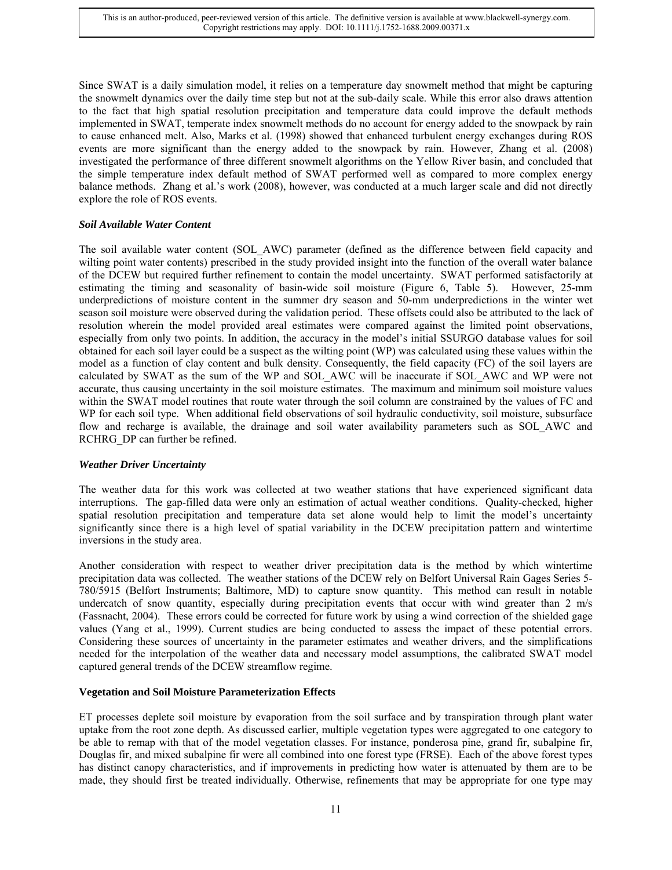Since SWAT is a daily simulation model, it relies on a temperature day snowmelt method that might be capturing the snowmelt dynamics over the daily time step but not at the sub-daily scale. While this error also draws attention to the fact that high spatial resolution precipitation and temperature data could improve the default methods implemented in SWAT, temperate index snowmelt methods do no account for energy added to the snowpack by rain to cause enhanced melt. Also, Marks et al. (1998) showed that enhanced turbulent energy exchanges during ROS events are more significant than the energy added to the snowpack by rain. However, Zhang et al. (2008) investigated the performance of three different snowmelt algorithms on the Yellow River basin, and concluded that the simple temperature index default method of SWAT performed well as compared to more complex energy balance methods. Zhang et al.'s work (2008), however, was conducted at a much larger scale and did not directly explore the role of ROS events.

# *Soil Available Water Content*

The soil available water content (SOL\_AWC) parameter (defined as the difference between field capacity and wilting point water contents) prescribed in the study provided insight into the function of the overall water balance of the DCEW but required further refinement to contain the model uncertainty. SWAT performed satisfactorily at estimating the timing and seasonality of basin-wide soil moisture (Figure 6, Table 5). However, 25-mm underpredictions of moisture content in the summer dry season and 50-mm underpredictions in the winter wet season soil moisture were observed during the validation period. These offsets could also be attributed to the lack of resolution wherein the model provided areal estimates were compared against the limited point observations, especially from only two points. In addition, the accuracy in the model's initial SSURGO database values for soil obtained for each soil layer could be a suspect as the wilting point (WP) was calculated using these values within the model as a function of clay content and bulk density. Consequently, the field capacity (FC) of the soil layers are calculated by SWAT as the sum of the WP and SOL\_AWC will be inaccurate if SOL\_AWC and WP were not accurate, thus causing uncertainty in the soil moisture estimates. The maximum and minimum soil moisture values within the SWAT model routines that route water through the soil column are constrained by the values of FC and WP for each soil type. When additional field observations of soil hydraulic conductivity, soil moisture, subsurface flow and recharge is available, the drainage and soil water availability parameters such as SOL\_AWC and RCHRG DP can further be refined.

#### *Weather Driver Uncertainty*

The weather data for this work was collected at two weather stations that have experienced significant data interruptions. The gap-filled data were only an estimation of actual weather conditions. Quality-checked, higher spatial resolution precipitation and temperature data set alone would help to limit the model's uncertainty significantly since there is a high level of spatial variability in the DCEW precipitation pattern and wintertime inversions in the study area.

Another consideration with respect to weather driver precipitation data is the method by which wintertime precipitation data was collected. The weather stations of the DCEW rely on Belfort Universal Rain Gages Series 5- 780/5915 (Belfort Instruments; Baltimore, MD) to capture snow quantity. This method can result in notable undercatch of snow quantity, especially during precipitation events that occur with wind greater than 2 m/s (Fassnacht, 2004). These errors could be corrected for future work by using a wind correction of the shielded gage values (Yang et al., 1999). Current studies are being conducted to assess the impact of these potential errors. Considering these sources of uncertainty in the parameter estimates and weather drivers, and the simplifications needed for the interpolation of the weather data and necessary model assumptions, the calibrated SWAT model captured general trends of the DCEW streamflow regime.

#### **Vegetation and Soil Moisture Parameterization Effects**

ET processes deplete soil moisture by evaporation from the soil surface and by transpiration through plant water uptake from the root zone depth. As discussed earlier, multiple vegetation types were aggregated to one category to be able to remap with that of the model vegetation classes. For instance, ponderosa pine, grand fir, subalpine fir, Douglas fir, and mixed subalpine fir were all combined into one forest type (FRSE). Each of the above forest types has distinct canopy characteristics, and if improvements in predicting how water is attenuated by them are to be made, they should first be treated individually. Otherwise, refinements that may be appropriate for one type may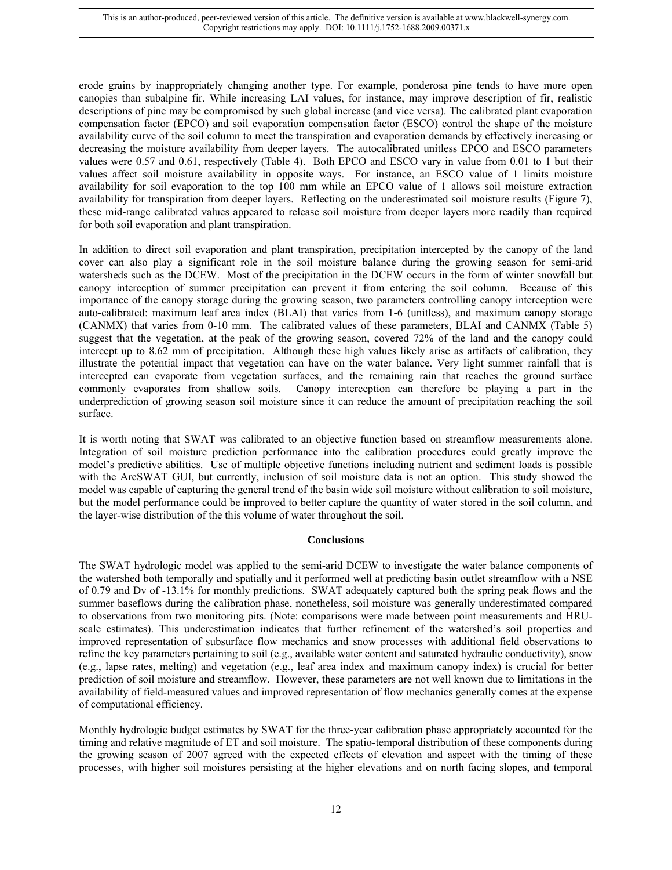erode grains by inappropriately changing another type. For example, ponderosa pine tends to have more open canopies than subalpine fir. While increasing LAI values, for instance, may improve description of fir, realistic descriptions of pine may be compromised by such global increase (and vice versa). The calibrated plant evaporation compensation factor (EPCO) and soil evaporation compensation factor (ESCO) control the shape of the moisture availability curve of the soil column to meet the transpiration and evaporation demands by effectively increasing or decreasing the moisture availability from deeper layers. The autocalibrated unitless EPCO and ESCO parameters values were 0.57 and 0.61, respectively (Table 4). Both EPCO and ESCO vary in value from 0.01 to 1 but their values affect soil moisture availability in opposite ways. For instance, an ESCO value of 1 limits moisture availability for soil evaporation to the top 100 mm while an EPCO value of 1 allows soil moisture extraction availability for transpiration from deeper layers. Reflecting on the underestimated soil moisture results (Figure 7), these mid-range calibrated values appeared to release soil moisture from deeper layers more readily than required for both soil evaporation and plant transpiration.

In addition to direct soil evaporation and plant transpiration, precipitation intercepted by the canopy of the land cover can also play a significant role in the soil moisture balance during the growing season for semi-arid watersheds such as the DCEW. Most of the precipitation in the DCEW occurs in the form of winter snowfall but canopy interception of summer precipitation can prevent it from entering the soil column. Because of this importance of the canopy storage during the growing season, two parameters controlling canopy interception were auto-calibrated: maximum leaf area index (BLAI) that varies from 1-6 (unitless), and maximum canopy storage (CANMX) that varies from 0-10 mm. The calibrated values of these parameters, BLAI and CANMX (Table 5) suggest that the vegetation, at the peak of the growing season, covered 72% of the land and the canopy could intercept up to 8.62 mm of precipitation. Although these high values likely arise as artifacts of calibration, they illustrate the potential impact that vegetation can have on the water balance. Very light summer rainfall that is intercepted can evaporate from vegetation surfaces, and the remaining rain that reaches the ground surface commonly evaporates from shallow soils. Canopy interception can therefore be playing a part in the underprediction of growing season soil moisture since it can reduce the amount of precipitation reaching the soil surface.

It is worth noting that SWAT was calibrated to an objective function based on streamflow measurements alone. Integration of soil moisture prediction performance into the calibration procedures could greatly improve the model's predictive abilities. Use of multiple objective functions including nutrient and sediment loads is possible with the ArcSWAT GUI, but currently, inclusion of soil moisture data is not an option. This study showed the model was capable of capturing the general trend of the basin wide soil moisture without calibration to soil moisture, but the model performance could be improved to better capture the quantity of water stored in the soil column, and the layer-wise distribution of the this volume of water throughout the soil.

# **Conclusions**

The SWAT hydrologic model was applied to the semi-arid DCEW to investigate the water balance components of the watershed both temporally and spatially and it performed well at predicting basin outlet streamflow with a NSE of 0.79 and Dv of -13.1% for monthly predictions. SWAT adequately captured both the spring peak flows and the summer baseflows during the calibration phase, nonetheless, soil moisture was generally underestimated compared to observations from two monitoring pits. (Note: comparisons were made between point measurements and HRUscale estimates). This underestimation indicates that further refinement of the watershed's soil properties and improved representation of subsurface flow mechanics and snow processes with additional field observations to refine the key parameters pertaining to soil (e.g., available water content and saturated hydraulic conductivity), snow (e.g., lapse rates, melting) and vegetation (e.g., leaf area index and maximum canopy index) is crucial for better prediction of soil moisture and streamflow. However, these parameters are not well known due to limitations in the availability of field-measured values and improved representation of flow mechanics generally comes at the expense of computational efficiency.

Monthly hydrologic budget estimates by SWAT for the three-year calibration phase appropriately accounted for the timing and relative magnitude of ET and soil moisture. The spatio-temporal distribution of these components during the growing season of 2007 agreed with the expected effects of elevation and aspect with the timing of these processes, with higher soil moistures persisting at the higher elevations and on north facing slopes, and temporal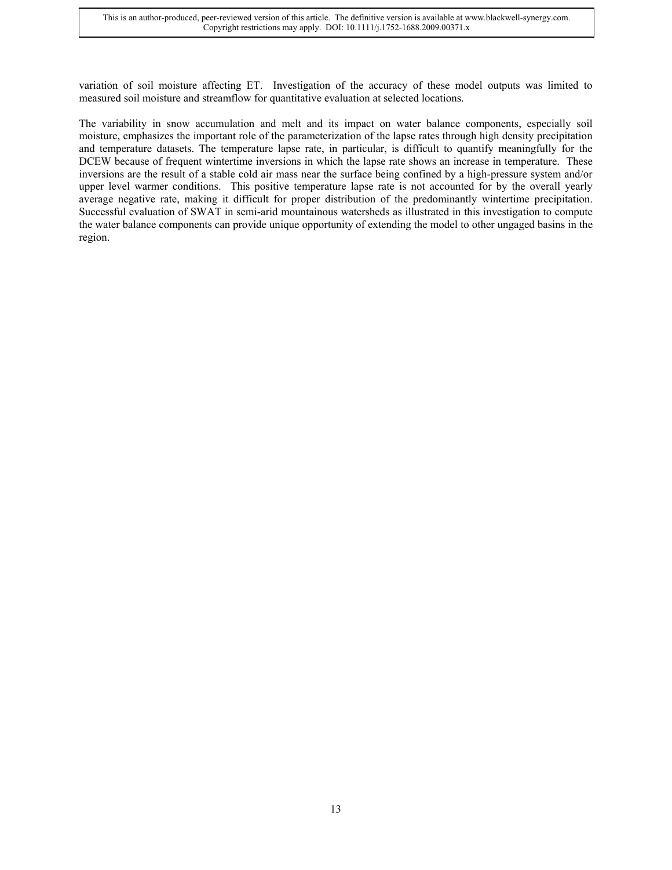variation of soil moisture affecting ET. Investigation of the accuracy of these model outputs was limited to measured soil moisture and streamflow for quantitative evaluation at selected locations.

The variability in snow accumulation and melt and its impact on water balance components, especially soil moisture, emphasizes the important role of the parameterization of the lapse rates through high density precipitation and temperature datasets. The temperature lapse rate, in particular, is difficult to quantify meaningfully for the DCEW because of frequent wintertime inversions in which the lapse rate shows an increase in temperature. These inversions are the result of a stable cold air mass near the surface being confined by a high-pressure system and/or upper level warmer conditions. This positive temperature lapse rate is not accounted for by the overall yearly average negative rate, making it difficult for proper distribution of the predominantly wintertime precipitation. Successful evaluation of SWAT in semi-arid mountainous watersheds as illustrated in this investigation to compute the water balance components can provide unique opportunity of extending the model to other ungaged basins in the region.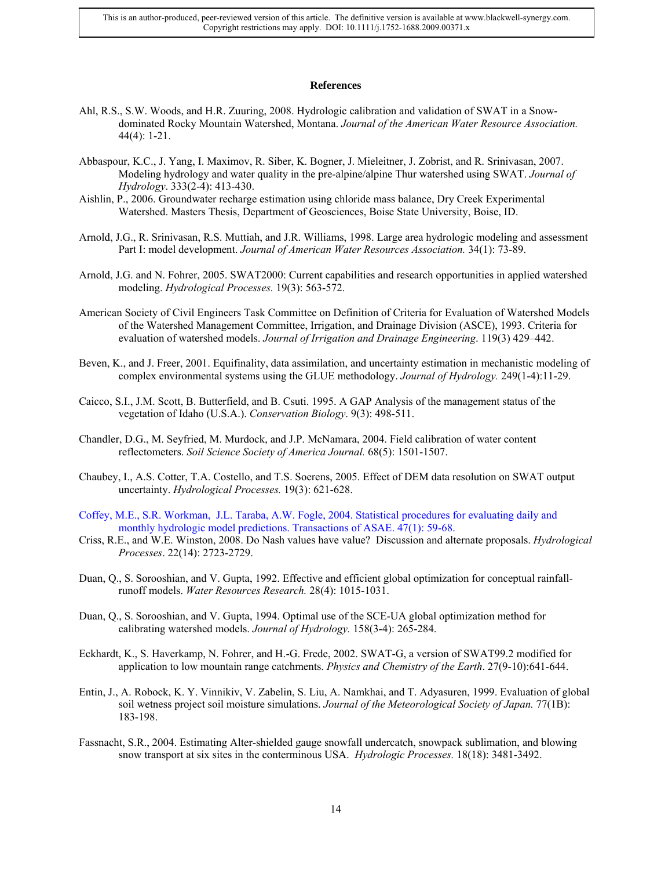#### **References**

- Ahl, R.S., S.W. Woods, and H.R. Zuuring, 2008. Hydrologic calibration and validation of SWAT in a Snowdominated Rocky Mountain Watershed, Montana. *Journal of the American Water Resource Association.* 44(4): 1-21.
- Abbaspour, K.C., J. Yang, I. Maximov, R. Siber, K. Bogner, J. Mieleitner, J. Zobrist, and R. Srinivasan, 2007. Modeling hydrology and water quality in the pre-alpine/alpine Thur watershed using SWAT. *Journal of Hydrology*. 333(2-4): 413-430.
- Aishlin, P., 2006. Groundwater recharge estimation using chloride mass balance, Dry Creek Experimental Watershed. Masters Thesis, Department of Geosciences, Boise State University, Boise, ID.
- Arnold, J.G., R. Srinivasan, R.S. Muttiah, and J.R. Williams, 1998. Large area hydrologic modeling and assessment Part I: model development. *Journal of American Water Resources Association.* 34(1): 73-89.
- Arnold, J.G. and N. Fohrer, 2005. SWAT2000: Current capabilities and research opportunities in applied watershed modeling. *Hydrological Processes.* 19(3): 563-572.
- American Society of Civil Engineers Task Committee on Definition of Criteria for Evaluation of Watershed Models of the Watershed Management Committee, Irrigation, and Drainage Division (ASCE), 1993. Criteria for evaluation of watershed models. *Journal of Irrigation and Drainage Engineering*. 119(3) 429–442.
- Beven, K., and J. Freer, 2001. Equifinality, data assimilation, and uncertainty estimation in mechanistic modeling of complex environmental systems using the GLUE methodology. *Journal of Hydrology.* 249(1-4):11-29.
- Caicco, S.I., J.M. Scott, B. Butterfield, and B. Csuti. 1995. A GAP Analysis of the management status of the vegetation of Idaho (U.S.A.). *Conservation Biology*. 9(3): 498-511.
- Chandler, D.G., M. Seyfried, M. Murdock, and J.P. McNamara, 2004. Field calibration of water content reflectometers. *Soil Science Society of America Journal.* 68(5): 1501-1507.
- Chaubey, I., A.S. Cotter, T.A. Costello, and T.S. Soerens, 2005. Effect of DEM data resolution on SWAT output uncertainty. *Hydrological Processes.* 19(3): 621-628.
- Coffey, M.E., S.R. Workman, J.L. Taraba, A.W. Fogle, 2004. Statistical procedures for evaluating daily and monthly hydrologic model predictions. Transactions of ASAE. 47(1): 59-68.
- Criss, R.E., and W.E. Winston, 2008. Do Nash values have value? Discussion and alternate proposals. *Hydrological Processes*. 22(14): 2723-2729.
- Duan, Q., S. Sorooshian, and V. Gupta, 1992. Effective and efficient global optimization for conceptual rainfallrunoff models. *Water Resources Research.* 28(4): 1015-1031.
- Duan, Q., S. Sorooshian, and V. Gupta, 1994. Optimal use of the SCE-UA global optimization method for calibrating watershed models. *Journal of Hydrology.* 158(3-4): 265-284.
- Eckhardt, K., S. Haverkamp, N. Fohrer, and H.-G. Frede, 2002. SWAT-G, a version of SWAT99.2 modified for application to low mountain range catchments. *Physics and Chemistry of the Earth*. 27(9-10):641-644.
- Entin, J., A. Robock, K. Y. Vinnikiv, V. Zabelin, S. Liu, A. Namkhai, and T. Adyasuren, 1999. Evaluation of global soil wetness project soil moisture simulations. *Journal of the Meteorological Society of Japan.* 77(1B): 183-198.
- Fassnacht, S.R., 2004. Estimating Alter-shielded gauge snowfall undercatch, snowpack sublimation, and blowing snow transport at six sites in the conterminous USA. *Hydrologic Processes.* 18(18): 3481-3492.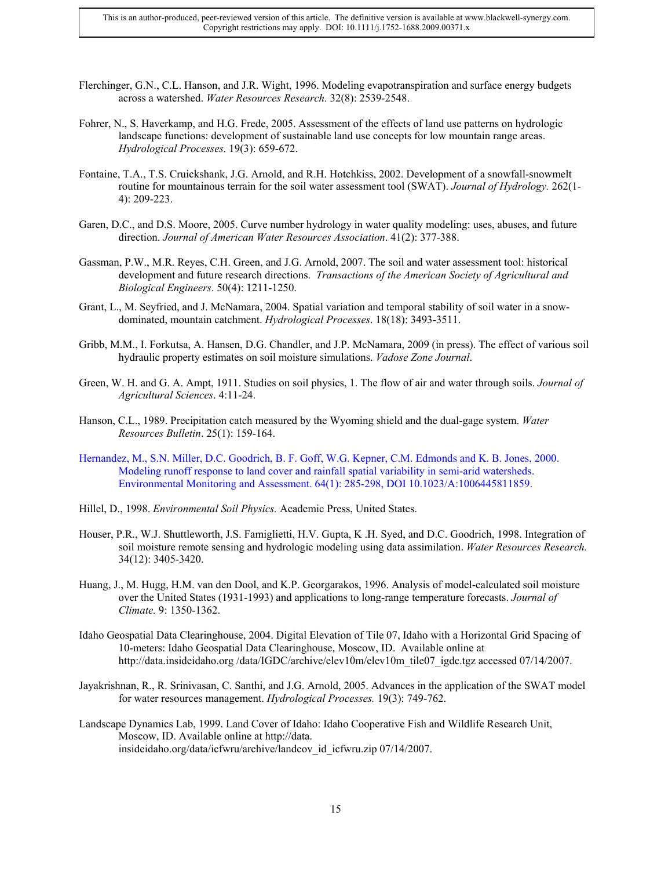- Flerchinger, G.N., C.L. Hanson, and J.R. Wight, 1996. Modeling evapotranspiration and surface energy budgets across a watershed. *Water Resources Research.* 32(8): 2539-2548.
- Fohrer, N., S. Haverkamp, and H.G. Frede, 2005. Assessment of the effects of land use patterns on hydrologic landscape functions: development of sustainable land use concepts for low mountain range areas. *Hydrological Processes.* 19(3): 659-672.
- Fontaine, T.A., T.S. Cruickshank, J.G. Arnold, and R.H. Hotchkiss, 2002. Development of a snowfall-snowmelt routine for mountainous terrain for the soil water assessment tool (SWAT). *Journal of Hydrology.* 262(1- 4): 209-223.
- Garen, D.C., and D.S. Moore, 2005. Curve number hydrology in water quality modeling: uses, abuses, and future direction. *Journal of American Water Resources Association*. 41(2): 377-388.
- Gassman, P.W., M.R. Reyes, C.H. Green, and J.G. Arnold, 2007. The soil and water assessment tool: historical development and future research directions. *Transactions of the American Society of Agricultural and Biological Engineers*. 50(4): 1211-1250.
- Grant, L., M. Seyfried, and J. McNamara, 2004. Spatial variation and temporal stability of soil water in a snowdominated, mountain catchment. *Hydrological Processes*. 18(18): 3493-3511.
- Gribb, M.M., I. Forkutsa, A. Hansen, D.G. Chandler, and J.P. McNamara, 2009 (in press). The effect of various soil hydraulic property estimates on soil moisture simulations. *Vadose Zone Journal*.
- Green, W. H. and G. A. Ampt, 1911. Studies on soil physics, 1. The flow of air and water through soils. *Journal of Agricultural Sciences*. 4:11-24.
- Hanson, C.L., 1989. Precipitation catch measured by the Wyoming shield and the dual-gage system. *Water Resources Bulletin*. 25(1): 159-164.
- Hernandez, M., S.N. Miller, D.C. Goodrich, B. F. Goff, W.G. Kepner, C.M. Edmonds and K. B. Jones, 2000. Modeling runoff response to land cover and rainfall spatial variability in semi-arid watersheds. Environmental Monitoring and Assessment. 64(1): 285-298, DOI 10.1023/A:1006445811859.
- Hillel, D., 1998. *Environmental Soil Physics.* Academic Press, United States.
- Houser, P.R., W.J. Shuttleworth, J.S. Famiglietti, H.V. Gupta, K .H. Syed, and D.C. Goodrich, 1998. Integration of soil moisture remote sensing and hydrologic modeling using data assimilation. *Water Resources Research.*  34(12): 3405-3420.
- Huang, J., M. Hugg, H.M. van den Dool, and K.P. Georgarakos, 1996. Analysis of model-calculated soil moisture over the United States (1931-1993) and applications to long-range temperature forecasts. *Journal of Climate.* 9: 1350-1362.
- Idaho Geospatial Data Clearinghouse, 2004. Digital Elevation of Tile 07, Idaho with a Horizontal Grid Spacing of 10-meters: Idaho Geospatial Data Clearinghouse, Moscow, ID. Available online at http://data.insideidaho.org /data/IGDC/archive/elev10m/elev10m\_tile07\_igdc.tgz accessed 07/14/2007.
- Jayakrishnan, R., R. Srinivasan, C. Santhi, and J.G. Arnold, 2005. Advances in the application of the SWAT model for water resources management. *Hydrological Processes.* 19(3): 749-762.
- Landscape Dynamics Lab, 1999. Land Cover of Idaho: Idaho Cooperative Fish and Wildlife Research Unit, Moscow, ID. Available online at http://data. insideidaho.org/data/icfwru/archive/landcov\_id\_icfwru.zip 07/14/2007.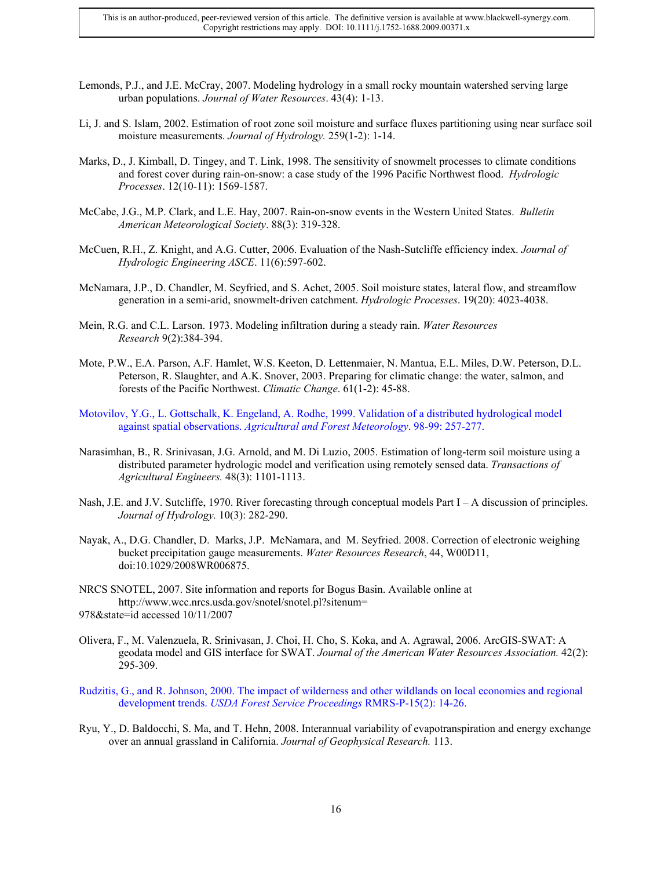- Lemonds, P.J., and J.E. McCray, 2007. Modeling hydrology in a small rocky mountain watershed serving large urban populations. *Journal of Water Resources*. 43(4): 1-13.
- Li, J. and S. Islam, 2002. Estimation of root zone soil moisture and surface fluxes partitioning using near surface soil moisture measurements. *Journal of Hydrology.* 259(1-2): 1-14.
- Marks, D., J. Kimball, D. Tingey, and T. Link, 1998. The sensitivity of snowmelt processes to climate conditions and forest cover during rain-on-snow: a case study of the 1996 Pacific Northwest flood. *Hydrologic Processes*. 12(10-11): 1569-1587.
- McCabe, J.G., M.P. Clark, and L.E. Hay, 2007. Rain-on-snow events in the Western United States. *Bulletin American Meteorological Society*. 88(3): 319-328.
- McCuen, R.H., Z. Knight, and A.G. Cutter, 2006. Evaluation of the Nash-Sutcliffe efficiency index. *Journal of Hydrologic Engineering ASCE*. 11(6):597-602.
- McNamara, J.P., D. Chandler, M. Seyfried, and S. Achet, 2005. Soil moisture states, lateral flow, and streamflow generation in a semi-arid, snowmelt-driven catchment. *Hydrologic Processes*. 19(20): 4023-4038.
- Mein, R.G. and C.L. Larson. 1973. Modeling infiltration during a steady rain. *Water Resources Research* 9(2):384-394.
- Mote, P.W., E.A. Parson, A.F. Hamlet, W.S. Keeton, D. Lettenmaier, N. Mantua, E.L. Miles, D.W. Peterson, D.L. Peterson, R. Slaughter, and A.K. Snover, 2003. Preparing for climatic change: the water, salmon, and forests of the Pacific Northwest. *Climatic Change*. 61(1-2): 45-88.
- Motovilov, Y.G., L. Gottschalk, K. Engeland, A. Rodhe, 1999. Validation of a distributed hydrological model against spatial observations. *Agricultural and Forest Meteorology*. 98-99: 257-277.
- Narasimhan, B., R. Srinivasan, J.G. Arnold, and M. Di Luzio, 2005. Estimation of long-term soil moisture using a distributed parameter hydrologic model and verification using remotely sensed data. *Transactions of Agricultural Engineers.* 48(3): 1101-1113.
- Nash, J.E. and J.V. Sutcliffe, 1970. River forecasting through conceptual models Part I A discussion of principles. *Journal of Hydrology.* 10(3): 282-290.
- Nayak, A., D.G. Chandler, D. Marks, J.P. McNamara, and M. Seyfried. 2008. Correction of electronic weighing bucket precipitation gauge measurements. *Water Resources Research*, 44, W00D11, doi:10.1029/2008WR006875.
- NRCS SNOTEL, 2007. Site information and reports for Bogus Basin. Available online at http://www.wcc.nrcs.usda.gov/snotel/snotel.pl?sitenum= 978&state=id accessed 10/11/2007
- Olivera, F., M. Valenzuela, R. Srinivasan, J. Choi, H. Cho, S. Koka, and A. Agrawal, 2006. ArcGIS-SWAT: A geodata model and GIS interface for SWAT. *Journal of the American Water Resources Association.* 42(2): 295-309.
- Rudzitis, G., and R. Johnson, 2000. The impact of wilderness and other wildlands on local economies and regional development trends. *USDA Forest Service Proceedings* RMRS-P-15(2): 14-26.
- Ryu, Y., D. Baldocchi, S. Ma, and T. Hehn, 2008. Interannual variability of evapotranspiration and energy exchange over an annual grassland in California. *Journal of Geophysical Research.* 113.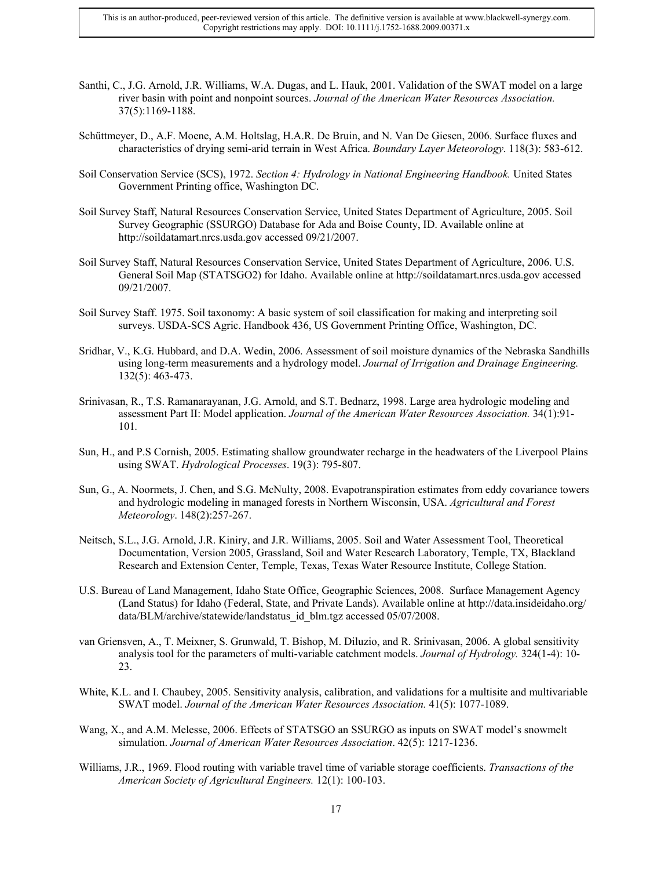- Santhi, C., J.G. Arnold, J.R. Williams, W.A. Dugas, and L. Hauk, 2001. Validation of the SWAT model on a large river basin with point and nonpoint sources. *Journal of the American Water Resources Association.* 37(5):1169-1188.
- Schüttmeyer, D., A.F. Moene, A.M. Holtslag, H.A.R. De Bruin, and N. Van De Giesen, 2006. Surface fluxes and characteristics of drying semi-arid terrain in West Africa. *Boundary Layer Meteorology*. 118(3): 583-612.
- Soil Conservation Service (SCS), 1972. *Section 4: Hydrology in National Engineering Handbook.* United States Government Printing office, Washington DC.
- Soil Survey Staff, Natural Resources Conservation Service, United States Department of Agriculture, 2005. Soil Survey Geographic (SSURGO) Database for Ada and Boise County, ID. Available online at http://soildatamart.nrcs.usda.gov accessed 09/21/2007.
- Soil Survey Staff, Natural Resources Conservation Service, United States Department of Agriculture, 2006. U.S. General Soil Map (STATSGO2) for Idaho. Available online at http://soildatamart.nrcs.usda.gov accessed 09/21/2007.
- Soil Survey Staff. 1975. Soil taxonomy: A basic system of soil classification for making and interpreting soil surveys. USDA-SCS Agric. Handbook 436, US Government Printing Office, Washington, DC.
- Sridhar, V., K.G. Hubbard, and D.A. Wedin, 2006. Assessment of soil moisture dynamics of the Nebraska Sandhills using long-term measurements and a hydrology model. *Journal of Irrigation and Drainage Engineering.* 132(5): 463-473.
- Srinivasan, R., T.S. Ramanarayanan, J.G. Arnold, and S.T. Bednarz, 1998. Large area hydrologic modeling and assessment Part II: Model application. *Journal of the American Water Resources Association.* 34(1):91- 101*.*
- Sun, H., and P.S Cornish, 2005. Estimating shallow groundwater recharge in the headwaters of the Liverpool Plains using SWAT. *Hydrological Processes*. 19(3): 795-807.
- Sun, G., A. Noormets, J. Chen, and S.G. McNulty, 2008. Evapotranspiration estimates from eddy covariance towers and hydrologic modeling in managed forests in Northern Wisconsin, USA. *Agricultural and Forest Meteorology*. 148(2):257-267.
- Neitsch, S.L., J.G. Arnold, J.R. Kiniry, and J.R. Williams, 2005. Soil and Water Assessment Tool, Theoretical Documentation, Version 2005, Grassland, Soil and Water Research Laboratory, Temple, TX, Blackland Research and Extension Center, Temple, Texas, Texas Water Resource Institute, College Station.
- U.S. Bureau of Land Management, Idaho State Office, Geographic Sciences, 2008. Surface Management Agency (Land Status) for Idaho (Federal, State, and Private Lands). Available online at http://data.insideidaho.org/ data/BLM/archive/statewide/landstatus\_id\_blm.tgz accessed 05/07/2008.
- van Griensven, A., T. Meixner, S. Grunwald, T. Bishop, M. Diluzio, and R. Srinivasan, 2006. A global sensitivity analysis tool for the parameters of multi-variable catchment models. *Journal of Hydrology.* 324(1-4): 10- 23.
- White, K.L. and I. Chaubey, 2005. Sensitivity analysis, calibration, and validations for a multisite and multivariable SWAT model. *Journal of the American Water Resources Association.* 41(5): 1077-1089.
- Wang, X., and A.M. Melesse, 2006. Effects of STATSGO an SSURGO as inputs on SWAT model's snowmelt simulation. *Journal of American Water Resources Association*. 42(5): 1217-1236.
- Williams, J.R., 1969. Flood routing with variable travel time of variable storage coefficients. *Transactions of the American Society of Agricultural Engineers.* 12(1): 100-103.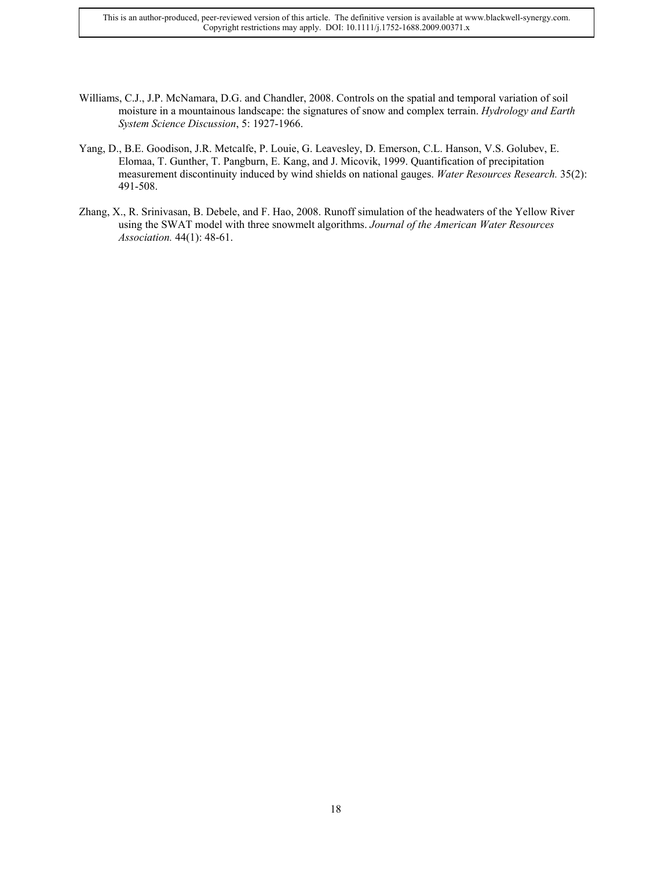This is an author-produced, peer-reviewed version of this article. The definitive version is available at www.blackwell-synergy.com. Copyright restrictions may apply. DOI: 10.1111/j.1752-1688.2009.00371.x

- Williams, C.J., J.P. McNamara, D.G. and Chandler, 2008. Controls on the spatial and temporal variation of soil moisture in a mountainous landscape: the signatures of snow and complex terrain. *Hydrology and Earth System Science Discussion*, 5: 1927-1966.
- Yang, D., B.E. Goodison, J.R. Metcalfe, P. Louie, G. Leavesley, D. Emerson, C.L. Hanson, V.S. Golubev, E. Elomaa, T. Gunther, T. Pangburn, E. Kang, and J. Micovik, 1999. Quantification of precipitation measurement discontinuity induced by wind shields on national gauges. *Water Resources Research.* 35(2): 491-508.
- Zhang, X., R. Srinivasan, B. Debele, and F. Hao, 2008. Runoff simulation of the headwaters of the Yellow River using the SWAT model with three snowmelt algorithms. *Journal of the American Water Resources Association.* 44(1): 48-61.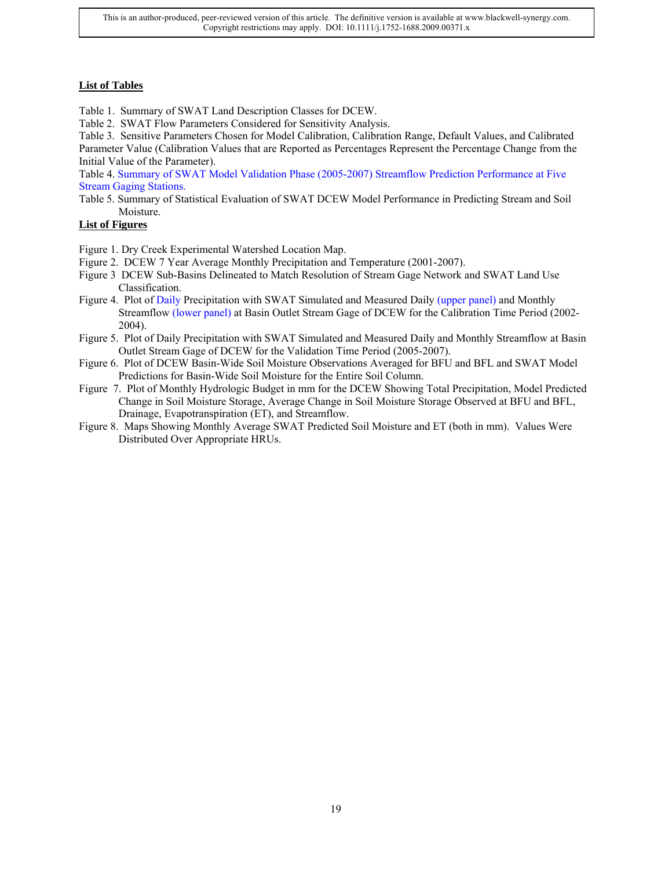# **List of Tables**

Table 1. Summary of SWAT Land Description Classes for DCEW.

Table 2. SWAT Flow Parameters Considered for Sensitivity Analysis.

Table 3. Sensitive Parameters Chosen for Model Calibration, Calibration Range, Default Values, and Calibrated Parameter Value (Calibration Values that are Reported as Percentages Represent the Percentage Change from the Initial Value of the Parameter).

Table 4. Summary of SWAT Model Validation Phase (2005-2007) Streamflow Prediction Performance at Five Stream Gaging Stations.

Table 5. Summary of Statistical Evaluation of SWAT DCEW Model Performance in Predicting Stream and Soil Moisture.

# **List of Figures**

- Figure 1. Dry Creek Experimental Watershed Location Map.
- Figure 2. DCEW 7 Year Average Monthly Precipitation and Temperature (2001-2007).
- Figure 3 DCEW Sub-Basins Delineated to Match Resolution of Stream Gage Network and SWAT Land Use Classification.
- Figure 4. Plot of Daily Precipitation with SWAT Simulated and Measured Daily (upper panel) and Monthly Streamflow (lower panel) at Basin Outlet Stream Gage of DCEW for the Calibration Time Period (2002- 2004).
- Figure 5. Plot of Daily Precipitation with SWAT Simulated and Measured Daily and Monthly Streamflow at Basin Outlet Stream Gage of DCEW for the Validation Time Period (2005-2007).
- Figure 6. Plot of DCEW Basin-Wide Soil Moisture Observations Averaged for BFU and BFL and SWAT Model Predictions for Basin-Wide Soil Moisture for the Entire Soil Column.
- Figure 7. Plot of Monthly Hydrologic Budget in mm for the DCEW Showing Total Precipitation, Model Predicted Change in Soil Moisture Storage, Average Change in Soil Moisture Storage Observed at BFU and BFL, Drainage, Evapotranspiration (ET), and Streamflow.
- Figure 8. Maps Showing Monthly Average SWAT Predicted Soil Moisture and ET (both in mm). Values Were Distributed Over Appropriate HRUs.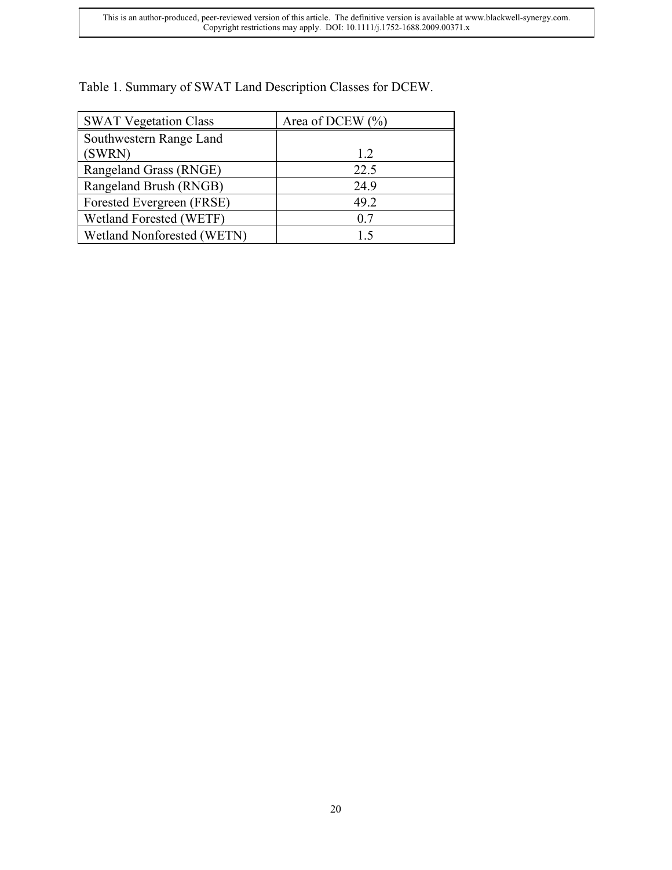| Table 1. Summary of SWAT Land Description Classes for DCEW. |  |
|-------------------------------------------------------------|--|
|-------------------------------------------------------------|--|

| <b>SWAT Vegetation Class</b>      | Area of DCEW $(\% )$ |
|-----------------------------------|----------------------|
| Southwestern Range Land           |                      |
| (SWRN)                            | 1.2                  |
| Rangeland Grass (RNGE)            | 22.5                 |
| Rangeland Brush (RNGB)            | 24.9                 |
| Forested Evergreen (FRSE)         | 49.2                 |
| Wetland Forested (WETF)           | 0.7                  |
| <b>Wetland Nonforested (WETN)</b> | 15                   |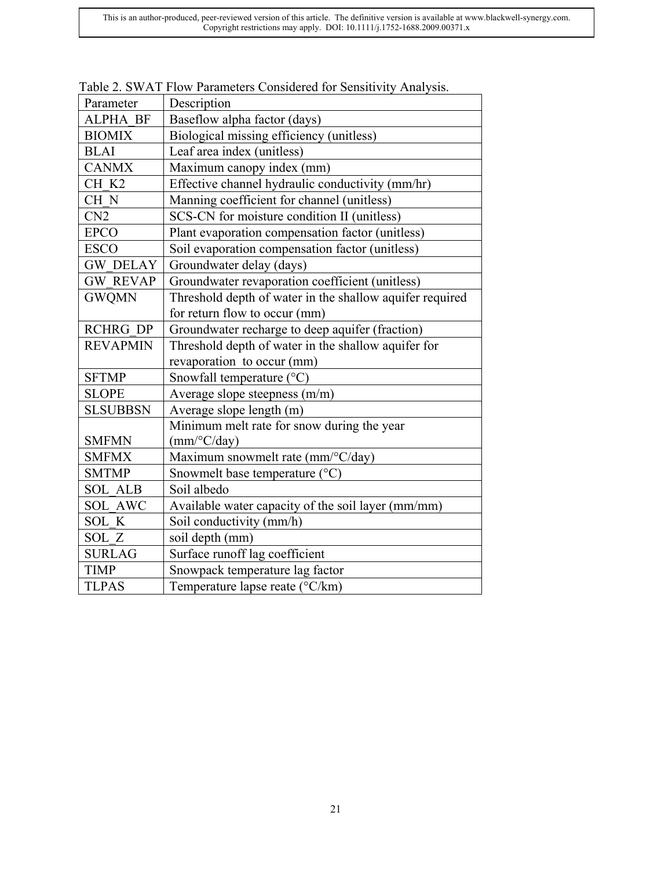| Parameter       | Description                                              |
|-----------------|----------------------------------------------------------|
| <b>ALPHA BF</b> | Baseflow alpha factor (days)                             |
| <b>BIOMIX</b>   | Biological missing efficiency (unitless)                 |
| <b>BLAI</b>     | Leaf area index (unitless)                               |
| <b>CANMX</b>    | Maximum canopy index (mm)                                |
| CH K2           | Effective channel hydraulic conductivity (mm/hr)         |
| CH <sub>N</sub> | Manning coefficient for channel (unitless)               |
| CN2             | SCS-CN for moisture condition II (unitless)              |
| <b>EPCO</b>     | Plant evaporation compensation factor (unitless)         |
| <b>ESCO</b>     | Soil evaporation compensation factor (unitless)          |
| <b>GW DELAY</b> | Groundwater delay (days)                                 |
| <b>GW REVAP</b> | Groundwater revaporation coefficient (unitless)          |
| <b>GWQMN</b>    | Threshold depth of water in the shallow aquifer required |
|                 | for return flow to occur (mm)                            |
| <b>RCHRG DP</b> | Groundwater recharge to deep aquifer (fraction)          |
| <b>REVAPMIN</b> | Threshold depth of water in the shallow aquifer for      |
|                 | revaporation to occur (mm)                               |
| <b>SFTMP</b>    | Snowfall temperature $(^{\circ}C)$                       |
| <b>SLOPE</b>    | Average slope steepness (m/m)                            |
| <b>SLSUBBSN</b> | Average slope length (m)                                 |
|                 | Minimum melt rate for snow during the year               |
| <b>SMFMN</b>    | $(mm$ <sup>o</sup> $C$ /day)                             |
| <b>SMFMX</b>    | Maximum snowmelt rate (mm/°C/day)                        |
| <b>SMTMP</b>    | Snowmelt base temperature $(^{\circ}C)$                  |
| <b>SOL ALB</b>  | Soil albedo                                              |
| <b>SOL AWC</b>  | Available water capacity of the soil layer (mm/mm)       |
| SOL K           | Soil conductivity (mm/h)                                 |
| SOL Z           | soil depth (mm)                                          |
| <b>SURLAG</b>   | Surface runoff lag coefficient                           |
| <b>TIMP</b>     | Snowpack temperature lag factor                          |
| <b>TLPAS</b>    | Temperature lapse reate (°C/km)                          |

|  | Table 2. SWAT Flow Parameters Considered for Sensitivity Analysis. |
|--|--------------------------------------------------------------------|
|  |                                                                    |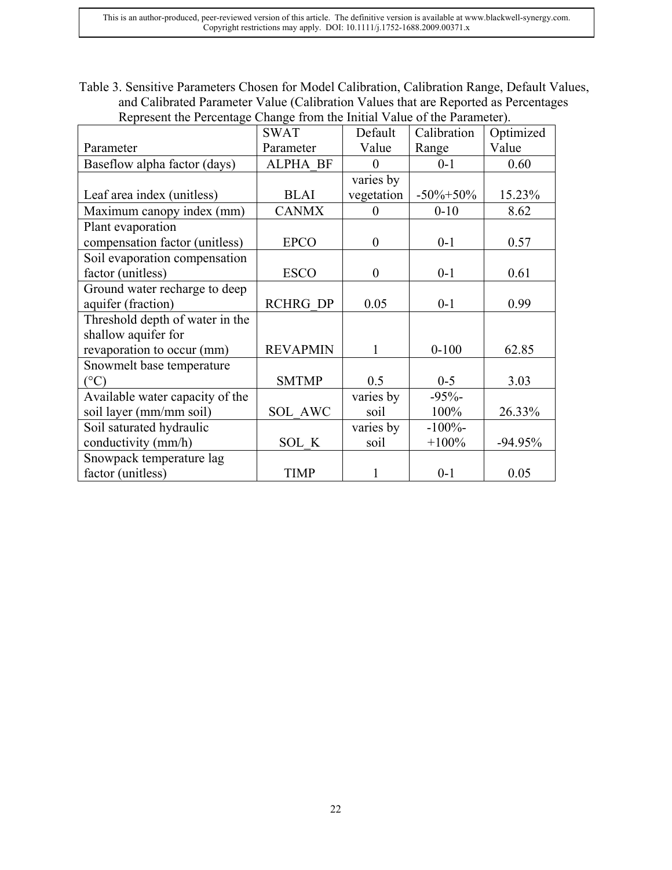This is an author-produced, peer-reviewed version of this article. The definitive version is available at www.blackwell-synergy.com. Copyright restrictions may apply. DOI: 10.1111/j.1752-1688.2009.00371.x

Table 3. Sensitive Parameters Chosen for Model Calibration, Calibration Range, Default Values, and Calibrated Parameter Value (Calibration Values that are Reported as Percentages Represent the Percentage Change from the Initial Value of the Parameter).

| respressive to a creenage enange from the findal value of the fundament). | <b>SWAT</b>     | Default                  | Calibration    | Optimized |
|---------------------------------------------------------------------------|-----------------|--------------------------|----------------|-----------|
| Parameter                                                                 | Parameter       | Value                    | Range          | Value     |
| Baseflow alpha factor (days)                                              | <b>ALPHA BF</b> | $\theta$                 | $0 - 1$        | 0.60      |
|                                                                           |                 | $\overline{v}$ varies by |                |           |
| Leaf area index (unitless)                                                | <b>BLAI</b>     | vegetation               | $-50\% + 50\%$ | 15.23%    |
| Maximum canopy index (mm)                                                 | <b>CANMX</b>    | $\theta$                 | $0 - 10$       | 8.62      |
| Plant evaporation                                                         |                 |                          |                |           |
| compensation factor (unitless)                                            | <b>EPCO</b>     | $\boldsymbol{0}$         | $0 - 1$        | 0.57      |
| Soil evaporation compensation                                             |                 |                          |                |           |
| factor (unitless)                                                         | <b>ESCO</b>     | $\boldsymbol{0}$         | $0 - 1$        | 0.61      |
| Ground water recharge to deep                                             |                 |                          |                |           |
| aquifer (fraction)                                                        | <b>RCHRG DP</b> | 0.05                     | $0 - 1$        | 0.99      |
| Threshold depth of water in the                                           |                 |                          |                |           |
| shallow aquifer for                                                       |                 |                          |                |           |
| revaporation to occur (mm)                                                | <b>REVAPMIN</b> | $\mathbf{1}$             | $0 - 100$      | 62.85     |
| Snowmelt base temperature                                                 |                 |                          |                |           |
| $({}^{\circ}C)$                                                           | <b>SMTMP</b>    | 0.5                      | $0 - 5$        | 3.03      |
| Available water capacity of the                                           |                 | varies by                | $-95%$         |           |
| soil layer (mm/mm soil)                                                   | SOL AWC         | soil                     | 100%           | 26.33%    |
| Soil saturated hydraulic                                                  |                 | varies by                | $-100%$        |           |
| conductivity (mm/h)                                                       | SOL K           | soil                     | $+100%$        | $-94.95%$ |
| Snowpack temperature lag                                                  |                 |                          |                |           |
| factor (unitless)                                                         | <b>TIMP</b>     | 1                        | $0 - 1$        | 0.05      |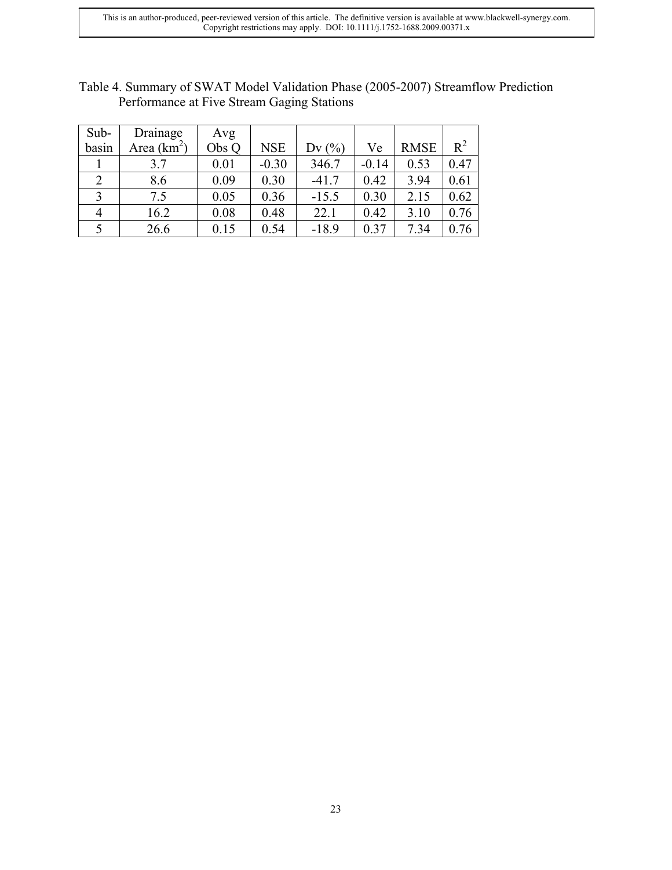| Sub-  | Drainage      | Avg   |            |          |         |             |       |
|-------|---------------|-------|------------|----------|---------|-------------|-------|
| basin | Area $(km^2)$ | Obs Q | <b>NSE</b> | Dv $(\%$ | Ve      | <b>RMSE</b> | $R^2$ |
|       | 3.7           | 0.01  | $-0.30$    | 346.7    | $-0.14$ | 0.53        | 0.47  |
|       | 8.6           | 0.09  | 0.30       | $-41.7$  | 0.42    | 3.94        | 0.61  |
|       | 7.5           | 0.05  | 0.36       | $-15.5$  | 0.30    | 2.15        | 0.62  |
| 4     | 16.2          | 0.08  | 0.48       | 22.1     | 0.42    | 3.10        | 0.76  |
|       | 26.6          | 0.15  | 0.54       | $-18.9$  | 0.37    | 7.34        | 0.76  |

Table 4. Summary of SWAT Model Validation Phase (2005-2007) Streamflow Prediction Performance at Five Stream Gaging Stations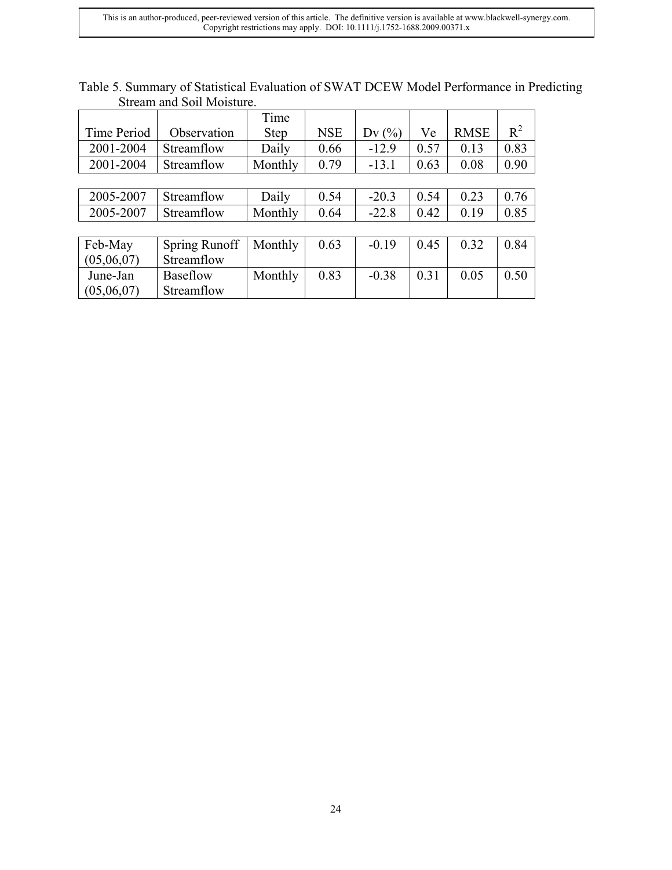This is an author-produced, peer-reviewed version of this article. The definitive version is available at www.blackwell-synergy.com. Copyright restrictions may apply. DOI: 10.1111/j.1752-1688.2009.00371.x

|              | ouvani and ovil invisitiv. |             |            |         |      |             |       |
|--------------|----------------------------|-------------|------------|---------|------|-------------|-------|
|              |                            | Time        |            |         |      |             |       |
| Time Period  | Observation                | <b>Step</b> | <b>NSE</b> | Dv(%)   | Ve   | <b>RMSE</b> | $R^2$ |
| 2001-2004    | Streamflow                 | Daily       | 0.66       | $-12.9$ | 0.57 | 0.13        | 0.83  |
| 2001-2004    | Streamflow                 | Monthly     | 0.79       | $-13.1$ | 0.63 | 0.08        | 0.90  |
|              |                            |             |            |         |      |             |       |
| 2005-2007    | Streamflow                 | Daily       | 0.54       | $-20.3$ | 0.54 | 0.23        | 0.76  |
| 2005-2007    | Streamflow                 | Monthly     | 0.64       | $-22.8$ | 0.42 | 0.19        | 0.85  |
|              |                            |             |            |         |      |             |       |
| Feb-May      | Spring Runoff              | Monthly     | 0.63       | $-0.19$ | 0.45 | 0.32        | 0.84  |
| (05,06,07)   | Streamflow                 |             |            |         |      |             |       |
| June-Jan     | Baseflow                   | Monthly     | 0.83       | $-0.38$ | 0.31 | 0.05        | 0.50  |
| (05, 06, 07) | Streamflow                 |             |            |         |      |             |       |

| Table 5. Summary of Statistical Evaluation of SWAT DCEW Model Performance in Predicting |  |  |
|-----------------------------------------------------------------------------------------|--|--|
| Stream and Soil Moisture.                                                               |  |  |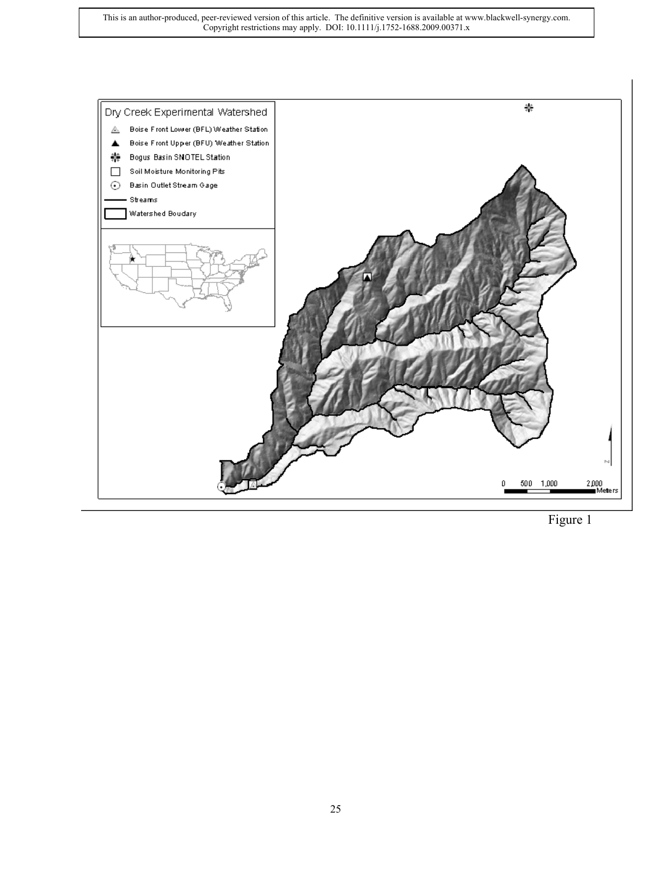

Figure 1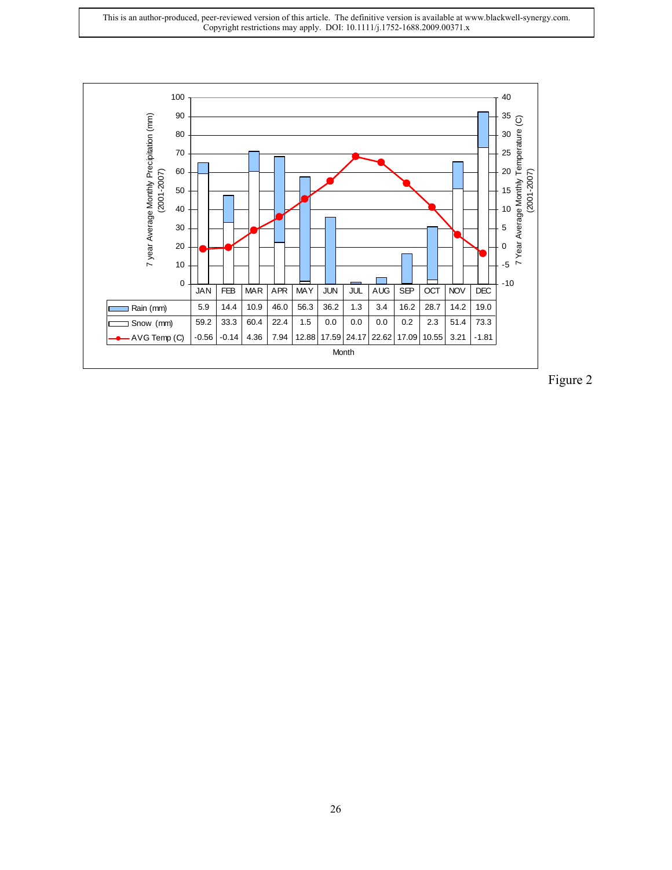

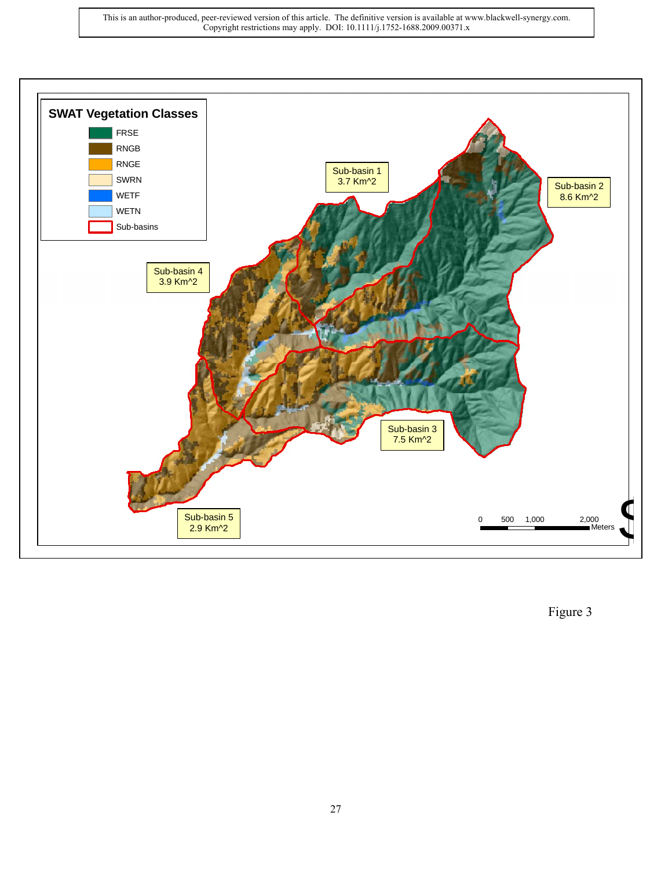

Figure 3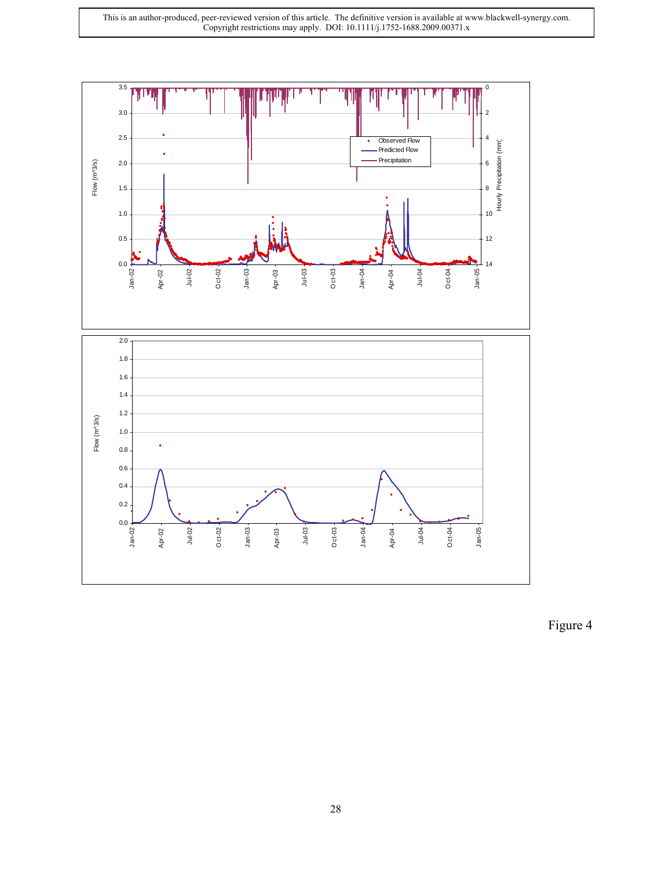

Figure 4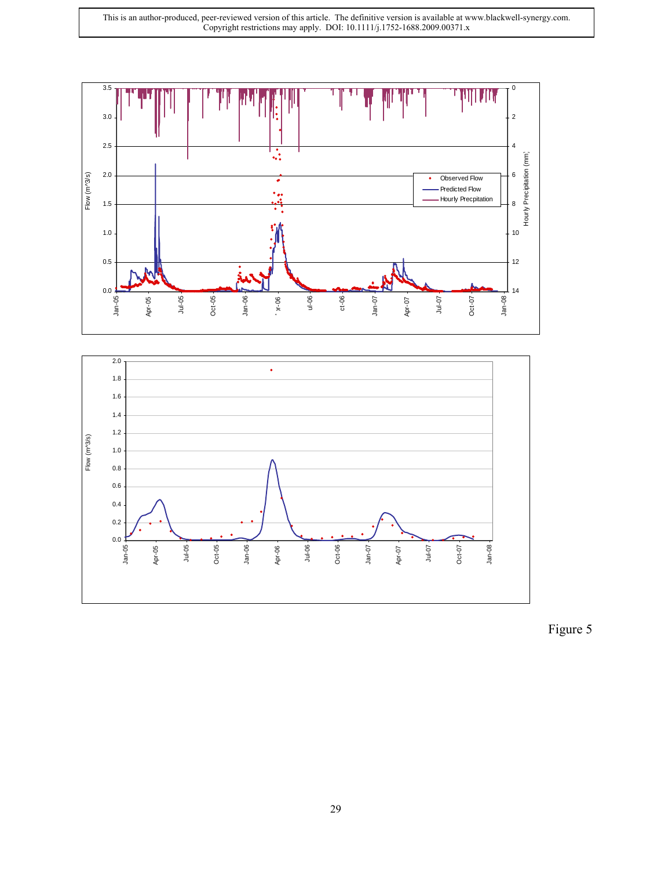



Figure 5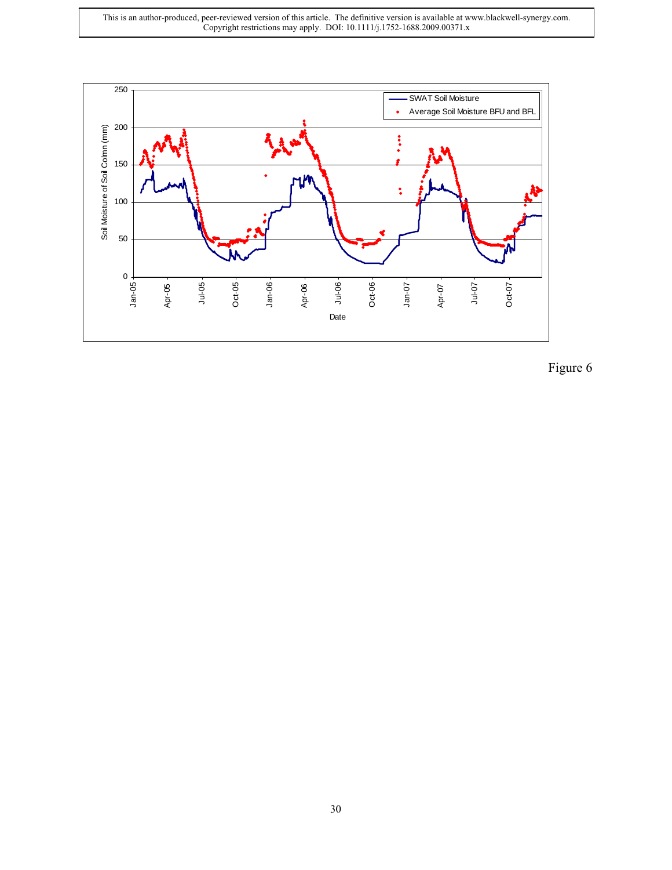This is an author-produced, peer-reviewed version of this article. The definitive version is available at www.blackwell-synergy.com. Copyright restrictions may apply. DOI: 10.1111/j.1752-1688.2009.00371.x



Figure 6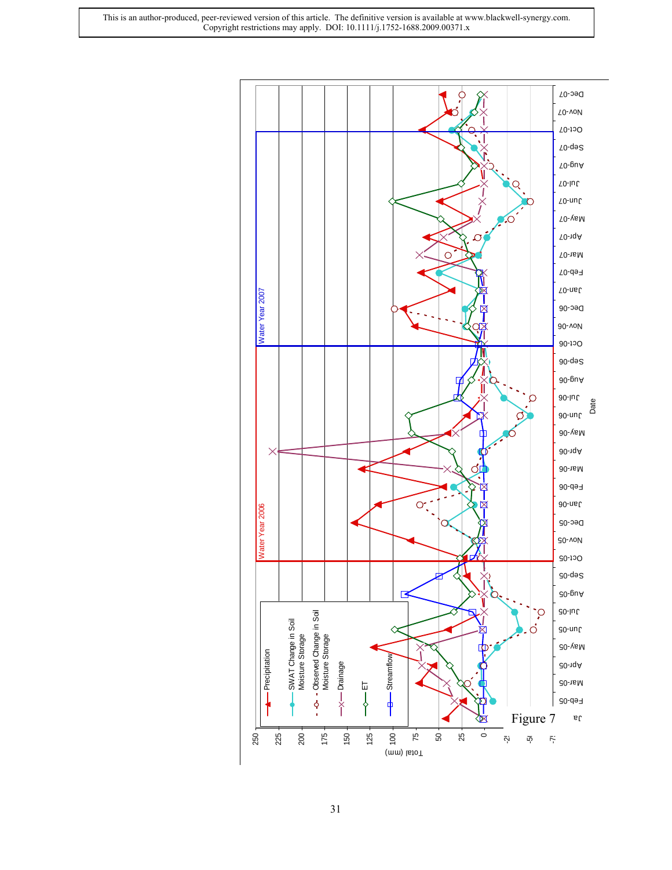